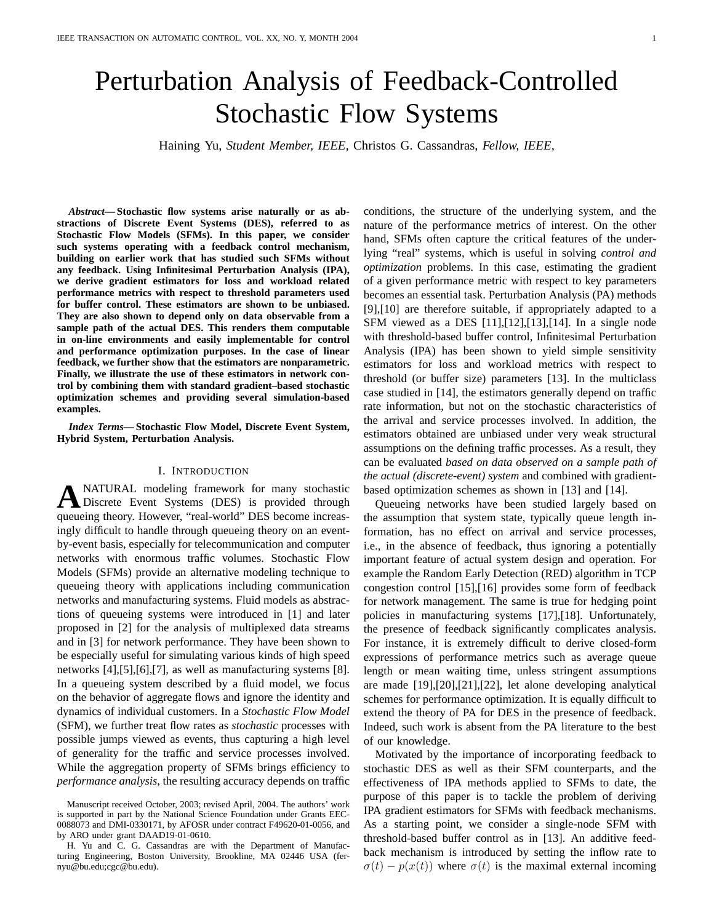# Perturbation Analysis of Feedback-Controlled Stochastic Flow Systems

Haining Yu, *Student Member, IEEE,* Christos G. Cassandras, *Fellow, IEEE,*

*Abstract***— Stochastic flow systems arise naturally or as abstractions of Discrete Event Systems (DES), referred to as Stochastic Flow Models (SFMs). In this paper, we consider such systems operating with a feedback control mechanism, building on earlier work that has studied such SFMs without any feedback. Using Infinitesimal Perturbation Analysis (IPA), we derive gradient estimators for loss and workload related performance metrics with respect to threshold parameters used for buffer control. These estimators are shown to be unbiased. They are also shown to depend only on data observable from a sample path of the actual DES. This renders them computable in on-line environments and easily implementable for control and performance optimization purposes. In the case of linear feedback, we further show that the estimators are nonparametric. Finally, we illustrate the use of these estimators in network control by combining them with standard gradient–based stochastic optimization schemes and providing several simulation-based examples.**

*Index Terms***— Stochastic Flow Model, Discrete Event System, Hybrid System, Perturbation Analysis.**

#### I. INTRODUCTION

**A** NATURAL modeling framework for many stochastic<br>Discrete Event Systems (DES) is provided through NATURAL modeling framework for many stochastic queueing theory. However, "real-world" DES become increasingly difficult to handle through queueing theory on an eventby-event basis, especially for telecommunication and computer networks with enormous traffic volumes. Stochastic Flow Models (SFMs) provide an alternative modeling technique to queueing theory with applications including communication networks and manufacturing systems. Fluid models as abstractions of queueing systems were introduced in [1] and later proposed in [2] for the analysis of multiplexed data streams and in [3] for network performance. They have been shown to be especially useful for simulating various kinds of high speed networks [4],[5],[6],[7], as well as manufacturing systems [8]. In a queueing system described by a fluid model, we focus on the behavior of aggregate flows and ignore the identity and dynamics of individual customers. In a *Stochastic Flow Model* (SFM), we further treat flow rates as *stochastic* processes with possible jumps viewed as events, thus capturing a high level of generality for the traffic and service processes involved. While the aggregation property of SFMs brings efficiency to *performance analysis*, the resulting accuracy depends on traffic

conditions, the structure of the underlying system, and the nature of the performance metrics of interest. On the other hand, SFMs often capture the critical features of the underlying "real" systems, which is useful in solving *control and optimization* problems. In this case, estimating the gradient of a given performance metric with respect to key parameters becomes an essential task. Perturbation Analysis (PA) methods [9],[10] are therefore suitable, if appropriately adapted to a SFM viewed as a DES [11],[12],[13],[14]. In a single node with threshold-based buffer control, Infinitesimal Perturbation Analysis (IPA) has been shown to yield simple sensitivity estimators for loss and workload metrics with respect to threshold (or buffer size) parameters [13]. In the multiclass case studied in [14], the estimators generally depend on traffic rate information, but not on the stochastic characteristics of the arrival and service processes involved. In addition, the estimators obtained are unbiased under very weak structural assumptions on the defining traffic processes. As a result, they can be evaluated *based on data observed on a sample path of the actual (discrete-event) system* and combined with gradientbased optimization schemes as shown in [13] and [14].

Queueing networks have been studied largely based on the assumption that system state, typically queue length information, has no effect on arrival and service processes, i.e., in the absence of feedback, thus ignoring a potentially important feature of actual system design and operation. For example the Random Early Detection (RED) algorithm in TCP congestion control [15],[16] provides some form of feedback for network management. The same is true for hedging point policies in manufacturing systems [17],[18]. Unfortunately, the presence of feedback significantly complicates analysis. For instance, it is extremely difficult to derive closed-form expressions of performance metrics such as average queue length or mean waiting time, unless stringent assumptions are made [19],[20],[21],[22], let alone developing analytical schemes for performance optimization. It is equally difficult to extend the theory of PA for DES in the presence of feedback. Indeed, such work is absent from the PA literature to the best of our knowledge.

Motivated by the importance of incorporating feedback to stochastic DES as well as their SFM counterparts, and the effectiveness of IPA methods applied to SFMs to date, the purpose of this paper is to tackle the problem of deriving IPA gradient estimators for SFMs with feedback mechanisms. As a starting point, we consider a single-node SFM with threshold-based buffer control as in [13]. An additive feedback mechanism is introduced by setting the inflow rate to  $\sigma(t) - p(x(t))$  where  $\sigma(t)$  is the maximal external incoming

Manuscript received October, 2003; revised April, 2004. The authors' work is supported in part by the National Science Foundation under Grants EEC-0088073 and DMI-0330171, by AFOSR under contract F49620-01-0056, and by ARO under grant DAAD19-01-0610.

H. Yu and C. G. Cassandras are with the Department of Manufacturing Engineering, Boston University, Brookline, MA 02446 USA (fernyu@bu.edu;cgc@bu.edu).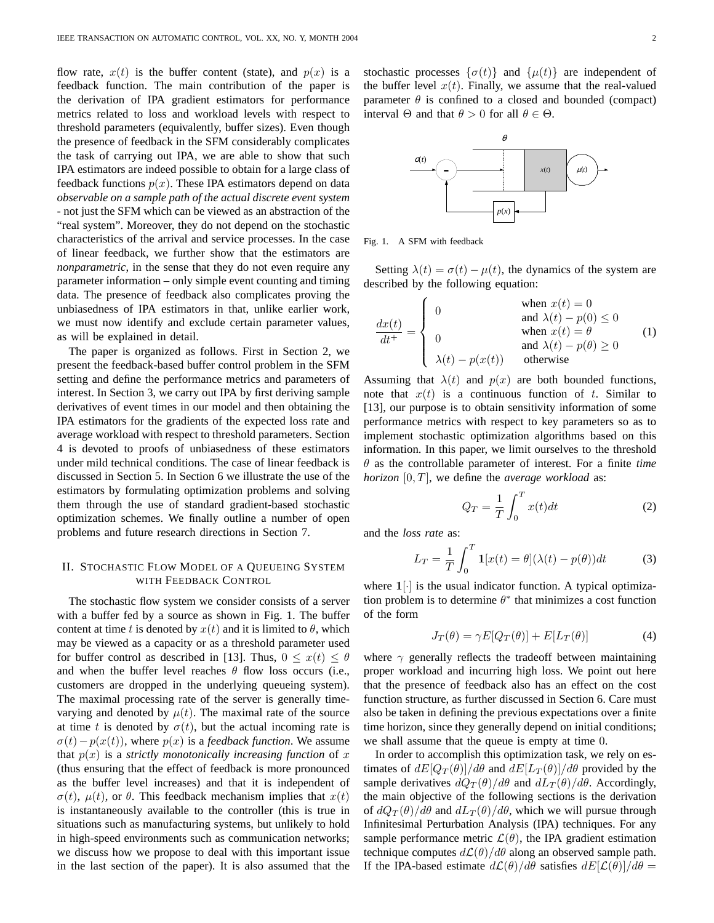flow rate,  $x(t)$  is the buffer content (state), and  $p(x)$  is a feedback function. The main contribution of the paper is the derivation of IPA gradient estimators for performance metrics related to loss and workload levels with respect to threshold parameters (equivalently, buffer sizes). Even though the presence of feedback in the SFM considerably complicates the task of carrying out IPA, we are able to show that such IPA estimators are indeed possible to obtain for a large class of feedback functions  $p(x)$ . These IPA estimators depend on data *observable on a sample path of the actual discrete event system* - not just the SFM which can be viewed as an abstraction of the "real system". Moreover, they do not depend on the stochastic characteristics of the arrival and service processes. In the case of linear feedback, we further show that the estimators are *nonparametric*, in the sense that they do not even require any parameter information – only simple event counting and timing data. The presence of feedback also complicates proving the unbiasedness of IPA estimators in that, unlike earlier work, we must now identify and exclude certain parameter values, as will be explained in detail.

The paper is organized as follows. First in Section 2, we present the feedback-based buffer control problem in the SFM setting and define the performance metrics and parameters of interest. In Section 3, we carry out IPA by first deriving sample derivatives of event times in our model and then obtaining the IPA estimators for the gradients of the expected loss rate and average workload with respect to threshold parameters. Section 4 is devoted to proofs of unbiasedness of these estimators under mild technical conditions. The case of linear feedback is discussed in Section 5. In Section 6 we illustrate the use of the estimators by formulating optimization problems and solving them through the use of standard gradient-based stochastic optimization schemes. We finally outline a number of open problems and future research directions in Section 7.

# II. STOCHASTIC FLOW MODEL OF A QUEUEING SYSTEM WITH FEEDBACK CONTROL

The stochastic flow system we consider consists of a server with a buffer fed by a source as shown in Fig. 1. The buffer content at time t is denoted by  $x(t)$  and it is limited to  $\theta$ , which may be viewed as a capacity or as a threshold parameter used for buffer control as described in [13]. Thus,  $0 \leq x(t) \leq \theta$ and when the buffer level reaches  $\theta$  flow loss occurs (i.e., customers are dropped in the underlying queueing system). The maximal processing rate of the server is generally timevarying and denoted by  $\mu(t)$ . The maximal rate of the source at time t is denoted by  $\sigma(t)$ , but the actual incoming rate is  $\sigma(t)-p(x(t))$ , where  $p(x)$  is a *feedback function*. We assume that  $p(x)$  is a *strictly monotonically increasing function* of x (thus ensuring that the effect of feedback is more pronounced as the buffer level increases) and that it is independent of  $\sigma(t)$ ,  $\mu(t)$ , or  $\theta$ . This feedback mechanism implies that  $x(t)$ is instantaneously available to the controller (this is true in situations such as manufacturing systems, but unlikely to hold in high-speed environments such as communication networks; we discuss how we propose to deal with this important issue in the last section of the paper). It is also assumed that the stochastic processes  $\{\sigma(t)\}\$ and  $\{\mu(t)\}\$ are independent of the buffer level  $x(t)$ . Finally, we assume that the real-valued parameter  $\theta$  is confined to a closed and bounded (compact) interval  $\Theta$  and that  $\theta > 0$  for all  $\theta \in \Theta$ .



Fig. 1. A SFM with feedback

Setting  $\lambda(t) = \sigma(t) - \mu(t)$ , the dynamics of the system are described by the following equation:

$$
\frac{dx(t)}{dt^+} = \begin{cases}\n0 & \text{when } x(t) = 0 \\
0 & \text{and } \lambda(t) - p(0) \le 0 \\
0 & \text{when } x(t) = \theta \\
\lambda(t) - p(x(t)) & \text{otherwise}\n\end{cases}
$$
\n(1)

Assuming that  $\lambda(t)$  and  $p(x)$  are both bounded functions, note that  $x(t)$  is a continuous function of t. Similar to [13], our purpose is to obtain sensitivity information of some performance metrics with respect to key parameters so as to implement stochastic optimization algorithms based on this information. In this paper, we limit ourselves to the threshold θ as the controllable parameter of interest. For a finite *time horizon* [0, T], we define the *average workload* as:

$$
Q_T = \frac{1}{T} \int_0^T x(t)dt
$$
 (2)

and the *loss rate* as:

$$
L_T = \frac{1}{T} \int_0^T \mathbf{1}[x(t) = \theta](\lambda(t) - p(\theta))dt
$$
 (3)

where  $1[\cdot]$  is the usual indicator function. A typical optimization problem is to determine  $\theta^*$  that minimizes a cost function of the form

$$
J_T(\theta) = \gamma E[Q_T(\theta)] + E[L_T(\theta)] \tag{4}
$$

where  $\gamma$  generally reflects the tradeoff between maintaining proper workload and incurring high loss. We point out here that the presence of feedback also has an effect on the cost function structure, as further discussed in Section 6. Care must also be taken in defining the previous expectations over a finite time horizon, since they generally depend on initial conditions; we shall assume that the queue is empty at time 0.

In order to accomplish this optimization task, we rely on estimates of  $dE[Q_T(\theta)]/d\theta$  and  $dE[L_T(\theta)]/d\theta$  provided by the sample derivatives  $dQ_T(\theta)/d\theta$  and  $dL_T(\theta)/d\theta$ . Accordingly, the main objective of the following sections is the derivation of  $dQ_T(\theta)/d\theta$  and  $dL_T(\theta)/d\theta$ , which we will pursue through Infinitesimal Perturbation Analysis (IPA) techniques. For any sample performance metric  $\mathcal{L}(\theta)$ , the IPA gradient estimation technique computes  $d\mathcal{L}(\theta)/d\theta$  along an observed sample path. If the IPA-based estimate  $d\mathcal{L}(\theta)/d\theta$  satisfies  $dE[\mathcal{L}(\theta)]/d\theta =$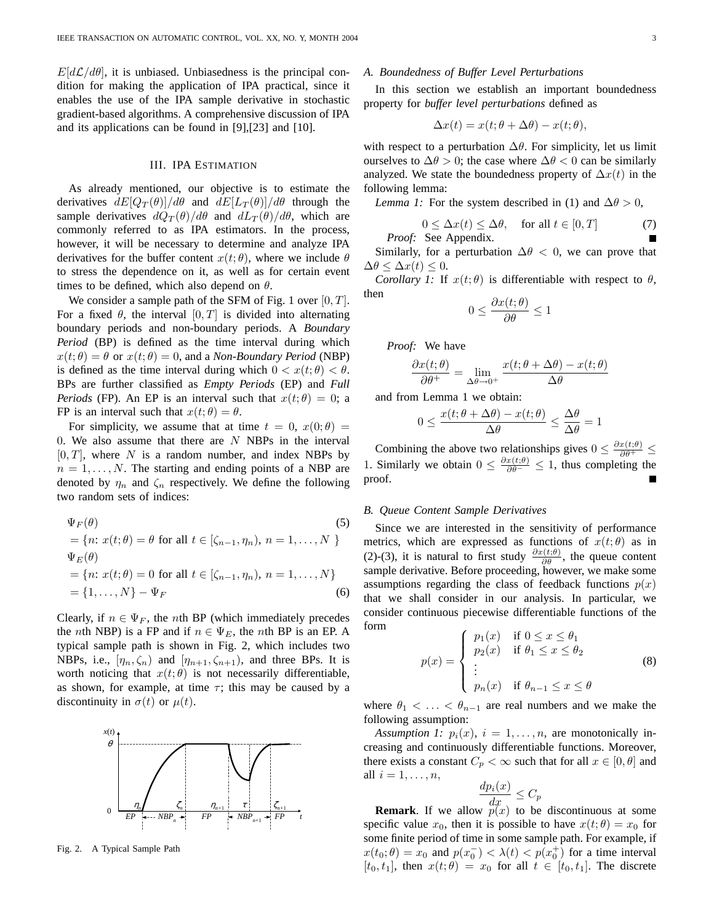$E[d\mathcal{L}/d\theta]$ , it is unbiased. Unbiasedness is the principal condition for making the application of IPA practical, since it enables the use of the IPA sample derivative in stochastic gradient-based algorithms. A comprehensive discussion of IPA and its applications can be found in [9],[23] and [10].

# III. IPA ESTIMATION

As already mentioned, our objective is to estimate the derivatives  $dE[Q_T(\theta)]/d\theta$  and  $dE[L_T(\theta)]/d\theta$  through the sample derivatives  $dQ_T(\theta)/d\theta$  and  $dL_T(\theta)/d\theta$ , which are commonly referred to as IPA estimators. In the process, however, it will be necessary to determine and analyze IPA derivatives for the buffer content  $x(t; \theta)$ , where we include  $\theta$ to stress the dependence on it, as well as for certain event times to be defined, which also depend on  $\theta$ .

We consider a sample path of the SFM of Fig. 1 over  $[0, T]$ . For a fixed  $\theta$ , the interval  $[0, T]$  is divided into alternating boundary periods and non-boundary periods. A *Boundary Period* (BP) is defined as the time interval during which  $x(t; \theta) = \theta$  or  $x(t; \theta) = 0$ , and a *Non-Boundary Period* (NBP) is defined as the time interval during which  $0 < x(t; \theta) < \theta$ . BPs are further classified as *Empty Periods* (EP) and *Full Periods* (FP). An EP is an interval such that  $x(t; \theta) = 0$ ; a FP is an interval such that  $x(t; \theta) = \theta$ .

For simplicity, we assume that at time  $t = 0$ ,  $x(0; \theta) =$ 0. We also assume that there are  $N$  NBPs in the interval  $[0, T]$ , where N is a random number, and index NBPs by  $n = 1, \ldots, N$ . The starting and ending points of a NBP are denoted by  $\eta_n$  and  $\zeta_n$  respectively. We define the following two random sets of indices:

$$
\Psi_F(\theta) \tag{5}
$$
\n
$$
= \{n: x(t; \theta) = \theta \text{ for all } t \in [\zeta_{n-1}, \eta_n), n = 1, \dots, N \}
$$
\n
$$
\Psi_E(\theta) \tag{5}
$$
\n
$$
= \{n: x(t; \theta) = 0 \text{ for all } t \in [\zeta_{n-1}, \eta_n), n = 1, \dots, N \}
$$
\n
$$
= \{1, \dots, N\} - \Psi_F \tag{6}
$$

Clearly, if  $n \in \Psi_F$ , the *n*th BP (which immediately precedes the *n*th NBP) is a FP and if  $n \in \Psi_E$ , the *n*th BP is an EP. A typical sample path is shown in Fig. 2, which includes two NBPs, i.e.,  $[\eta_n, \zeta_n]$  and  $[\eta_{n+1}, \zeta_{n+1})$ , and three BPs. It is worth noticing that  $x(t; \theta)$  is not necessarily differentiable, as shown, for example, at time  $\tau$ ; this may be caused by a discontinuity in  $\sigma(t)$  or  $\mu(t)$ .



Fig. 2. A Typical Sample Path

#### *A. Boundedness of Buffer Level Perturbations*

In this section we establish an important boundedness property for *buffer level perturbations* defined as

$$
\Delta x(t) = x(t; \theta + \Delta \theta) - x(t; \theta),
$$

with respect to a perturbation  $\Delta\theta$ . For simplicity, let us limit ourselves to  $\Delta\theta > 0$ ; the case where  $\Delta\theta < 0$  can be similarly analyzed. We state the boundedness property of  $\Delta x(t)$  in the following lemma:

*Lemma 1:* For the system described in (1) and  $\Delta\theta > 0$ ,

$$
0 \le \Delta x(t) \le \Delta \theta, \quad \text{for all } t \in [0, T] \tag{7}
$$
  
*Proof:* See Appendix.

Similarly, for a perturbation  $\Delta \theta$  < 0, we can prove that  $\Delta \theta \leq \Delta x(t) \leq 0.$ 

*Corollary 1:* If  $x(t; \theta)$  is differentiable with respect to  $\theta$ , then

$$
0 \le \frac{\partial x(t; \theta)}{\partial \theta} \le 1
$$

*Proof:* We have

$$
\frac{\partial x(t; \theta)}{\partial \theta^+} = \lim_{\Delta \theta \to 0^+} \frac{x(t; \theta + \Delta \theta) - x(t; \theta)}{\Delta \theta}
$$

and from Lemma 1 we obtain:

$$
0 \le \frac{x(t; \theta + \Delta\theta) - x(t; \theta)}{\Delta\theta} \le \frac{\Delta\theta}{\Delta\theta} = 1
$$

Combining the above two relationships gives  $0 \leq \frac{\partial x(t;\theta)}{\partial \theta^+} \leq$ 1. Similarly we obtain  $0 \leq \frac{\partial x(t;\theta)}{\partial \theta^-} \leq 1$ , thus completing the proof.

#### *B. Queue Content Sample Derivatives*

Since we are interested in the sensitivity of performance metrics, which are expressed as functions of  $x(t; \theta)$  as in (2)-(3), it is natural to first study  $\frac{\partial x(t;\theta)}{\partial \theta}$ , the queue content sample derivative. Before proceeding, however, we make some assumptions regarding the class of feedback functions  $p(x)$ that we shall consider in our analysis. In particular, we consider continuous piecewise differentiable functions of the form  $\overline{a}$ 

$$
p(x) = \begin{cases} p_1(x) & \text{if } 0 \le x \le \theta_1 \\ p_2(x) & \text{if } \theta_1 \le x \le \theta_2 \\ \vdots & \vdots \\ p_n(x) & \text{if } \theta_{n-1} \le x \le \theta \end{cases}
$$
 (8)

where  $\theta_1 < \ldots < \theta_{n-1}$  are real numbers and we make the following assumption:

*Assumption 1:*  $p_i(x)$ ,  $i = 1, \ldots, n$ , are monotonically increasing and continuously differentiable functions. Moreover, there exists a constant  $C_p < \infty$  such that for all  $x \in [0, \theta]$  and all  $i = 1, \ldots, n$ ,

$$
\frac{dp_i(x)}{dx} \le C_p
$$

**Remark**. If we allow  $p(x)$  to be discontinuous at some specific value  $x_0$ , then it is possible to have  $x(t; \theta) = x_0$  for some finite period of time in some sample path. For example, if  $x(t_0; \theta) = x_0$  and  $p(x_0^-) < \lambda(t) < p(x_0^+)$  for a time interval  $[t_0, t_1]$ , then  $x(t; \theta) = x_0$  for all  $t \in [t_0, t_1]$ . The discrete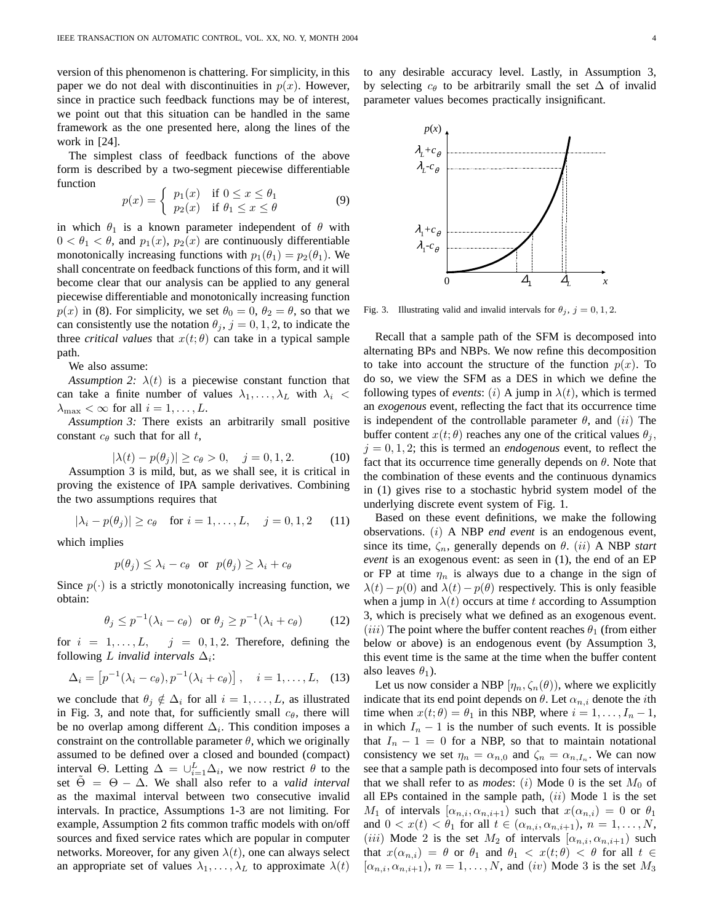version of this phenomenon is chattering. For simplicity, in this paper we do not deal with discontinuities in  $p(x)$ . However, since in practice such feedback functions may be of interest, we point out that this situation can be handled in the same framework as the one presented here, along the lines of the work in [24].

The simplest class of feedback functions of the above form is described by a two-segment piecewise differentiable function

$$
p(x) = \begin{cases} p_1(x) & \text{if } 0 \le x \le \theta_1 \\ p_2(x) & \text{if } \theta_1 \le x \le \theta \end{cases}
$$
 (9)

in which  $\theta_1$  is a known parameter independent of  $\theta$  with  $0 < \theta_1 < \theta$ , and  $p_1(x)$ ,  $p_2(x)$  are continuously differentiable monotonically increasing functions with  $p_1(\theta_1) = p_2(\theta_1)$ . We shall concentrate on feedback functions of this form, and it will become clear that our analysis can be applied to any general piecewise differentiable and monotonically increasing function  $p(x)$  in (8). For simplicity, we set  $\theta_0 = 0$ ,  $\theta_2 = \theta$ , so that we can consistently use the notation  $\theta_j$ ,  $j = 0, 1, 2$ , to indicate the three *critical values* that  $x(t; \theta)$  can take in a typical sample path.

We also assume:

*Assumption 2:*  $\lambda(t)$  is a piecewise constant function that can take a finite number of values  $\lambda_1, \ldots, \lambda_L$  with  $\lambda_i$  <  $\lambda_{\text{max}} < \infty$  for all  $i = 1, \ldots, L$ .

*Assumption 3:* There exists an arbitrarily small positive constant  $c_{\theta}$  such that for all t,

$$
|\lambda(t) - p(\theta_j)| \ge c_\theta > 0, \quad j = 0, 1, 2. \tag{10}
$$

Assumption 3 is mild, but, as we shall see, it is critical in proving the existence of IPA sample derivatives. Combining the two assumptions requires that

$$
|\lambda_i - p(\theta_j)| \ge c_\theta
$$
 for  $i = 1, ..., L$ ,  $j = 0, 1, 2$  (11)

which implies

$$
p(\theta_j) \leq \lambda_i - c_\theta
$$
 or  $p(\theta_j) \geq \lambda_i + c_\theta$ 

Since  $p(\cdot)$  is a strictly monotonically increasing function, we obtain:

$$
\theta_j \le p^{-1}(\lambda_i - c_\theta) \quad \text{or} \quad \theta_j \ge p^{-1}(\lambda_i + c_\theta) \tag{12}
$$

for  $i = 1, \ldots, L, j = 0, 1, 2$ . Therefore, defining the following  $L$  *invalid intervals*  $\Delta_i$ :

$$
\Delta_i = [p^{-1}(\lambda_i - c_{\theta}), p^{-1}(\lambda_i + c_{\theta})], \quad i = 1, ..., L,
$$
 (13)

we conclude that  $\theta_j \notin \Delta_i$  for all  $i = 1, \ldots, L$ , as illustrated in Fig. 3, and note that, for sufficiently small  $c_{\theta}$ , there will be no overlap among different  $\Delta_i$ . This condition imposes a constraint on the controllable parameter  $\theta$ , which we originally assumed to be defined over a closed and bounded (compact) interval  $\Theta$ . Letting  $\Delta = \bigcup_{i=1}^{L} \Delta_i$ , we now restrict  $\theta$  to the set  $\Theta = \Theta - \Delta$ . We shall also refer to a *valid interval* as the maximal interval between two consecutive invalid intervals. In practice, Assumptions 1-3 are not limiting. For example, Assumption 2 fits common traffic models with on/off sources and fixed service rates which are popular in computer networks. Moreover, for any given  $\lambda(t)$ , one can always select an appropriate set of values  $\lambda_1, \ldots, \lambda_L$  to approximate  $\lambda(t)$  to any desirable accuracy level. Lastly, in Assumption 3, by selecting  $c_{\theta}$  to be arbitrarily small the set  $\Delta$  of invalid parameter values becomes practically insignificant.



Fig. 3. Illustrating valid and invalid intervals for  $\theta_j$ ,  $j = 0, 1, 2$ .

Recall that a sample path of the SFM is decomposed into alternating BPs and NBPs. We now refine this decomposition to take into account the structure of the function  $p(x)$ . To do so, we view the SFM as a DES in which we define the following types of *events*: (i) A jump in  $\lambda(t)$ , which is termed an *exogenous* event, reflecting the fact that its occurrence time is independent of the controllable parameter  $\theta$ , and  $(ii)$  The buffer content  $x(t; \theta)$  reaches any one of the critical values  $\theta_i$ ,  $j = 0, 1, 2$ ; this is termed an *endogenous* event, to reflect the fact that its occurrence time generally depends on  $\theta$ . Note that the combination of these events and the continuous dynamics in (1) gives rise to a stochastic hybrid system model of the underlying discrete event system of Fig. 1.

Based on these event definitions, we make the following observations. (i) A NBP *end event* is an endogenous event, since its time,  $\zeta_n$ , generally depends on  $\theta$ . (*ii*) A NBP *start event* is an exogenous event: as seen in (1), the end of an EP or FP at time  $\eta_n$  is always due to a change in the sign of  $\lambda(t) - p(0)$  and  $\lambda(t) - p(\theta)$  respectively. This is only feasible when a jump in  $\lambda(t)$  occurs at time t according to Assumption 3, which is precisely what we defined as an exogenous event. (iii) The point where the buffer content reaches  $\theta_1$  (from either below or above) is an endogenous event (by Assumption 3, this event time is the same at the time when the buffer content also leaves  $\theta_1$ ).

Let us now consider a NBP  $[\eta_n, \zeta_n(\theta)]$ , where we explicitly indicate that its end point depends on  $\theta$ . Let  $\alpha_{n,i}$  denote the *i*th time when  $x(t; \theta) = \theta_1$  in this NBP, where  $i = 1, \dots, I_n - 1$ , in which  $I_n - 1$  is the number of such events. It is possible that  $I_n - 1 = 0$  for a NBP, so that to maintain notational consistency we set  $\eta_n = \alpha_{n,0}$  and  $\zeta_n = \alpha_{n,I_n}$ . We can now see that a sample path is decomposed into four sets of intervals that we shall refer to as *modes*: (i) Mode 0 is the set  $M_0$  of all EPs contained in the sample path,  $(ii)$  Mode 1 is the set  $M_1$  of intervals  $[\alpha_{n,i}, \alpha_{n,i+1})$  such that  $x(\alpha_{n,i}) = 0$  or  $\theta_1$ and  $0 < x(t) < \theta_1$  for all  $t \in (\alpha_{n,i}, \alpha_{n,i+1}), n = 1, \ldots, N$ , (iii) Mode 2 is the set  $M_2$  of intervals  $[\alpha_{n,i}, \alpha_{n,i+1})$  such that  $x(\alpha_{n,i}) = \theta$  or  $\theta_1$  and  $\theta_1 < x(t; \theta) < \theta$  for all  $t \in$  $[\alpha_{n,i}, \alpha_{n,i+1}), n = 1, \ldots, N$ , and  $(iv)$  Mode 3 is the set  $M_3$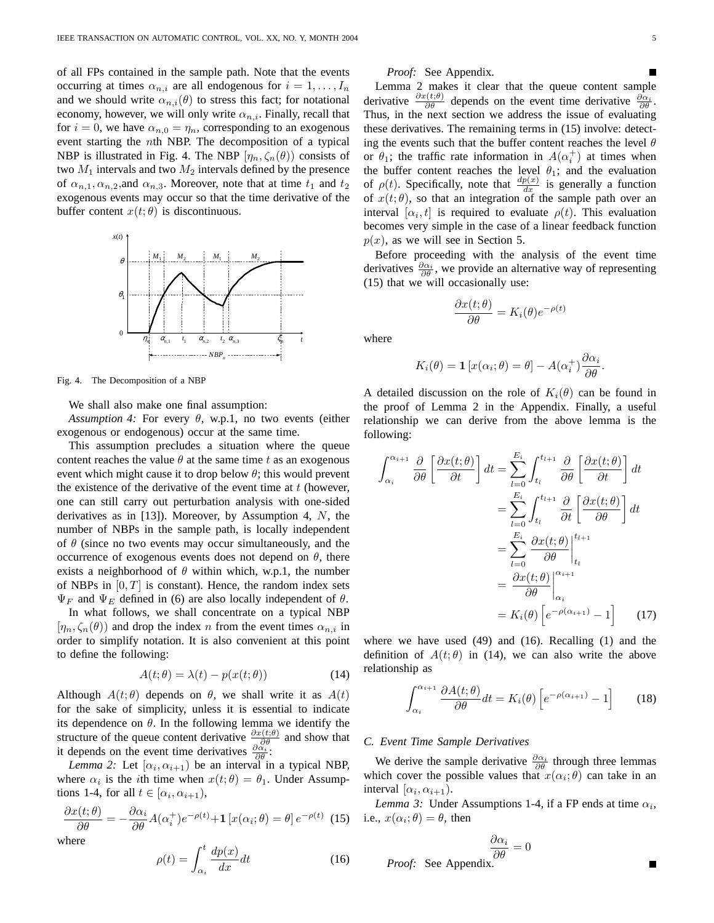of all FPs contained in the sample path. Note that the events occurring at times  $\alpha_{n,i}$  are all endogenous for  $i = 1, \ldots, I_n$ and we should write  $\alpha_{n,i}(\theta)$  to stress this fact; for notational economy, however, we will only write  $\alpha_{n,i}$ . Finally, recall that for  $i = 0$ , we have  $\alpha_{n,0} = \eta_n$ , corresponding to an exogenous event starting the nth NBP. The decomposition of a typical NBP is illustrated in Fig. 4. The NBP  $[\eta_n, \zeta_n(\theta)]$  consists of two  $M_1$  intervals and two  $M_2$  intervals defined by the presence of  $\alpha_{n,1}, \alpha_{n,2}$ , and  $\alpha_{n,3}$ . Moreover, note that at time  $t_1$  and  $t_2$ exogenous events may occur so that the time derivative of the buffer content  $x(t; \theta)$  is discontinuous.



Fig. 4. The Decomposition of a NBP

We shall also make one final assumption:

*Assumption 4:* For every  $\theta$ , w.p.1, no two events (either exogenous or endogenous) occur at the same time.

This assumption precludes a situation where the queue content reaches the value  $\theta$  at the same time t as an exogenous event which might cause it to drop below  $\theta$ ; this would prevent the existence of the derivative of the event time at  $t$  (however, one can still carry out perturbation analysis with one-sided derivatives as in [13]). Moreover, by Assumption 4,  $N$ , the number of NBPs in the sample path, is locally independent of  $\theta$  (since no two events may occur simultaneously, and the occurrence of exogenous events does not depend on  $\theta$ , there exists a neighborhood of  $\theta$  within which, w.p.1, the number of NBPs in  $[0, T]$  is constant). Hence, the random index sets  $\Psi_F$  and  $\Psi_E$  defined in (6) are also locally independent of  $\theta$ .

In what follows, we shall concentrate on a typical NBP  $[\eta_n, \zeta_n(\theta)]$  and drop the index n from the event times  $\alpha_{n,i}$  in order to simplify notation. It is also convenient at this point to define the following:

$$
A(t; \theta) = \lambda(t) - p(x(t; \theta)) \tag{14}
$$

Although  $A(t; \theta)$  depends on  $\theta$ , we shall write it as  $A(t)$ for the sake of simplicity, unless it is essential to indicate its dependence on  $\theta$ . In the following lemma we identify the structure of the queue content derivative  $\frac{\partial x(t;\theta)}{\partial \theta}$  and show that it depends on the event time derivatives  $\frac{\partial \alpha_i}{\partial \theta}$ :

*Lemma 2:* Let  $[\alpha_i, \alpha_{i+1})$  be an interval in a typical NBP, where  $\alpha_i$  is the *i*th time when  $x(t; \theta) = \theta_1$ . Under Assumptions 1-4, for all  $t \in [\alpha_i, \alpha_{i+1}),$ 

$$
\frac{\partial x(t;\theta)}{\partial \theta} = -\frac{\partial \alpha_i}{\partial \theta} A(\alpha_i^+) e^{-\rho(t)} + \mathbf{1} \left[ x(\alpha_i; \theta) = \theta \right] e^{-\rho(t)} \tag{15}
$$

where

$$
\rho(t) = \int_{\alpha_i}^{t} \frac{dp(x)}{dx} dt
$$
\n(16)

*Proof:* See Appendix.

Lemma 2 makes it clear that the queue content sample derivative  $\frac{\partial x(t;\theta)}{\partial \theta}$  depends on the event time derivative  $\frac{\partial \alpha_i}{\partial \theta}$ . Thus, in the next section we address the issue of evaluating these derivatives. The remaining terms in (15) involve: detecting the events such that the buffer content reaches the level  $\theta$ or  $\theta_1$ ; the traffic rate information in  $A(\alpha_i^+)$  at times when the buffer content reaches the level  $\theta_1$ ; and the evaluation of  $\rho(t)$ . Specifically, note that  $\frac{dp(x)}{dx}$  is generally a function of  $x(t; \theta)$ , so that an integration of the sample path over an interval  $[\alpha_i, t]$  is required to evaluate  $\rho(t)$ . This evaluation becomes very simple in the case of a linear feedback function  $p(x)$ , as we will see in Section 5.

Before proceeding with the analysis of the event time derivatives  $\frac{\partial \alpha_i}{\partial \theta}$ , we provide an alternative way of representing (15) that we will occasionally use:

$$
\frac{\partial x(t; \theta)}{\partial \theta} = K_i(\theta) e^{-\rho(t)}
$$

where

$$
K_i(\theta) = \mathbf{1} \left[ x(\alpha_i; \theta) = \theta \right] - A(\alpha_i^+) \frac{\partial \alpha_i}{\partial \theta}.
$$

A detailed discussion on the role of  $K_i(\theta)$  can be found in the proof of Lemma 2 in the Appendix. Finally, a useful relationship we can derive from the above lemma is the following:

$$
\int_{\alpha_i}^{\alpha_{i+1}} \frac{\partial}{\partial \theta} \left[ \frac{\partial x(t; \theta)}{\partial t} \right] dt = \sum_{l=0}^{E_i} \int_{t_l}^{t_{l+1}} \frac{\partial}{\partial \theta} \left[ \frac{\partial x(t; \theta)}{\partial t} \right] dt
$$

$$
= \sum_{l=0}^{E_i} \int_{t_l}^{t_{l+1}} \frac{\partial}{\partial t} \left[ \frac{\partial x(t; \theta)}{\partial \theta} \right] dt
$$

$$
= \sum_{l=0}^{E_i} \frac{\partial x(t; \theta)}{\partial \theta} \Big|_{t_l}^{t_{l+1}}
$$

$$
= \frac{\partial x(t; \theta)}{\partial \theta} \Big|_{\alpha_i}^{\alpha_{i+1}}
$$

$$
= K_i(\theta) \left[ e^{-\rho(\alpha_{i+1})} - 1 \right] \tag{17}
$$

where we have used (49) and (16). Recalling (1) and the definition of  $A(t; \theta)$  in (14), we can also write the above relationship as

$$
\int_{\alpha_i}^{\alpha_{i+1}} \frac{\partial A(t;\theta)}{\partial \theta} dt = K_i(\theta) \left[ e^{-\rho(\alpha_{i+1})} - 1 \right]
$$
 (18)

# *C. Event Time Sample Derivatives*

We derive the sample derivative  $\frac{\partial \alpha_i}{\partial \theta}$  through three lemmas which cover the possible values that  $x(\alpha_i; \theta)$  can take in an interval  $[\alpha_i, \alpha_{i+1})$ .

*Lemma 3:* Under Assumptions 1-4, if a FP ends at time  $\alpha_i$ , i.e.,  $x(\alpha_i; \theta) = \theta$ , then

$$
\frac{\partial \alpha_i}{\partial \theta} = 0
$$
  
*Proof:* See Appendix.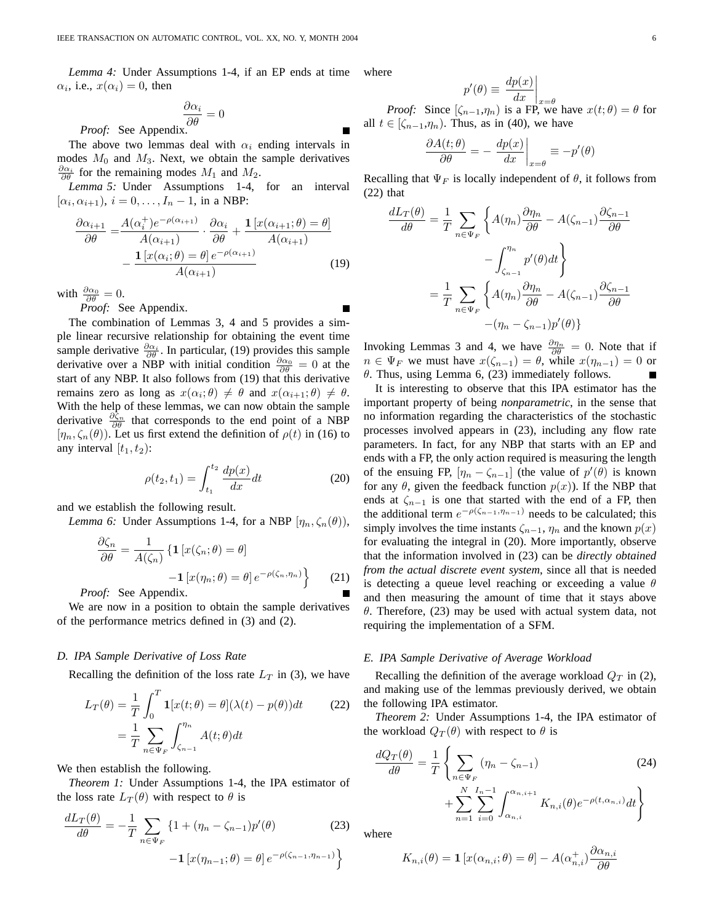*Lemma 4:* Under Assumptions 1-4, if an EP ends at time  $\alpha_i$ , i.e.,  $x(\alpha_i) = 0$ , then where

$$
\frac{\partial \alpha_i}{\partial \theta} = 0
$$
  
*Proof:* See Appendix.

The above two lemmas deal with  $\alpha_i$  ending intervals in modes  $M_0$  and  $M_3$ . Next, we obtain the sample derivatives  $\frac{\partial \alpha_i}{\partial \theta}$  for the remaining modes  $M_1$  and  $M_2$ .

*Lemma 5:* Under Assumptions 1-4, for an interval  $[\alpha_i, \alpha_{i+1}), i = 0, \ldots, I_n - 1$ , in a NBP:

$$
\frac{\partial \alpha_{i+1}}{\partial \theta} = \frac{A(\alpha_i^+)e^{-\rho(\alpha_{i+1})}}{A(\alpha_{i+1})} \cdot \frac{\partial \alpha_i}{\partial \theta} + \frac{\mathbf{1}[x(\alpha_{i+1};\theta) = \theta]}{A(\alpha_{i+1})}
$$

$$
- \frac{\mathbf{1}[x(\alpha_i;\theta) = \theta]e^{-\rho(\alpha_{i+1})}}{A(\alpha_{i+1})}
$$
(19)

with  $\frac{\partial \alpha_0}{\partial \theta} = 0$ .

*Proof:* See Appendix.

The combination of Lemmas 3, 4 and 5 provides a simple linear recursive relationship for obtaining the event time sample derivative  $\frac{\partial \alpha_i}{\partial \theta}$ . In particular, (19) provides this sample derivative over a NBP with initial condition  $\frac{\partial \alpha_0}{\partial \theta} = 0$  at the start of any NBP. It also follows from (19) that this derivative remains zero as long as  $x(\alpha_i;\theta) \neq \theta$  and  $x(\alpha_{i+1};\theta) \neq \theta$ . With the help of these lemmas, we can now obtain the sample derivative  $\frac{\partial \hat{\zeta}_n}{\partial \theta}$  that corresponds to the end point of a NBP  $[\eta_n, \zeta_n(\theta)]$ . Let us first extend the definition of  $\rho(t)$  in (16) to any interval  $[t_1, t_2)$ :

$$
\rho(t_2, t_1) = \int_{t_1}^{t_2} \frac{dp(x)}{dx} dt
$$
\n(20)

and we establish the following result.

*Lemma 6:* Under Assumptions 1-4, for a NBP  $[\eta_n, \zeta_n(\theta)],$ 

$$
\frac{\partial \zeta_n}{\partial \theta} = \frac{1}{A(\zeta_n)} \left\{ \mathbf{1} \left[ x(\zeta_n; \theta) = \theta \right] - \mathbf{1} \left[ x(\eta_n; \theta) = \theta \right] e^{-\rho(\zeta_n, \eta_n)} \right\} \tag{21}
$$

*Proof:* See Appendix.

We are now in a position to obtain the sample derivatives of the performance metrics defined in (3) and (2).

#### *D. IPA Sample Derivative of Loss Rate*

Recalling the definition of the loss rate  $L_T$  in (3), we have

$$
L_T(\theta) = \frac{1}{T} \int_0^T \mathbf{1}[x(t; \theta) = \theta](\lambda(t) - p(\theta))dt
$$
 (22)  

$$
= \frac{1}{T} \sum_{n \in \Psi_F} \int_{\zeta_{n-1}}^{\eta_n} A(t; \theta) dt
$$

We then establish the following.

*Theorem 1:* Under Assumptions 1-4, the IPA estimator of the loss rate  $L_T(\theta)$  with respect to  $\theta$  is

$$
\frac{dL_T(\theta)}{d\theta} = -\frac{1}{T} \sum_{n \in \Psi_F} \left\{ 1 + (\eta_n - \zeta_{n-1}) p'(\theta) \right\}
$$
(23)  
-1  $\left[ x(\eta_{n-1}; \theta) = \theta \right] e^{-\rho(\zeta_{n-1}, \eta_{n-1})}$ 

$$
p'(\theta) \equiv \left. \frac{dp(x)}{dx} \right|
$$

 $P(\theta) \equiv \frac{d\theta}{dx} \Big|_{x=\theta}$ <br>*Proof:* Since  $[\zeta_{n-1}, \eta_n]$  is a FP, we have  $x(t; \theta) = \theta$  for all  $t \in [\zeta_{n-1}, \eta_n)$ . Thus, as in (40), we have

$$
\left. \frac{\partial A(t; \theta)}{\partial \theta} = - \left. \frac{dp(x)}{dx} \right|_{x = \theta} \equiv -p'(\theta)
$$

Recalling that  $\Psi_F$  is locally independent of  $\theta$ , it follows from (22) that

$$
\frac{dL_T(\theta)}{d\theta} = \frac{1}{T} \sum_{n \in \Psi_F} \left\{ A(\eta_n) \frac{\partial \eta_n}{\partial \theta} - A(\zeta_{n-1}) \frac{\partial \zeta_{n-1}}{\partial \theta} \right\}
$$

$$
- \int_{\zeta_{n-1}}^{\eta_n} p'(\theta) dt \right\}
$$

$$
= \frac{1}{T} \sum_{n \in \Psi_F} \left\{ A(\eta_n) \frac{\partial \eta_n}{\partial \theta} - A(\zeta_{n-1}) \frac{\partial \zeta_{n-1}}{\partial \theta} \right\}
$$

$$
- (\eta_n - \zeta_{n-1}) p'(\theta) \}
$$

Invoking Lemmas 3 and 4, we have  $\frac{\partial \eta_n}{\partial \theta} = 0$ . Note that if  $n \in \Psi_F$  we must have  $x(\zeta_{n-1}) = \theta$ , while  $x(\eta_{n-1}) = 0$  or  $\theta$ . Thus, using Lemma 6, (23) immediately follows.

It is interesting to observe that this IPA estimator has the important property of being *nonparametric*, in the sense that no information regarding the characteristics of the stochastic processes involved appears in (23), including any flow rate parameters. In fact, for any NBP that starts with an EP and ends with a FP, the only action required is measuring the length of the ensuing FP,  $[\eta_n - \zeta_{n-1}]$  (the value of  $p'(\theta)$  is known for any  $\theta$ , given the feedback function  $p(x)$ ). If the NBP that ends at  $\zeta_{n-1}$  is one that started with the end of a FP, then the additional term  $e^{-\rho(\zeta_{n-1}, \eta_{n-1})}$  needs to be calculated; this simply involves the time instants  $\zeta_{n-1}, \eta_n$  and the known  $p(x)$ for evaluating the integral in (20). More importantly, observe that the information involved in (23) can be *directly obtained from the actual discrete event system*, since all that is needed is detecting a queue level reaching or exceeding a value  $\theta$ and then measuring the amount of time that it stays above θ. Therefore, (23) may be used with actual system data, not requiring the implementation of a SFM.

#### *E. IPA Sample Derivative of Average Workload*

Recalling the definition of the average workload  $Q_T$  in (2), and making use of the lemmas previously derived, we obtain the following IPA estimator.

*Theorem 2:* Under Assumptions 1-4, the IPA estimator of the workload  $Q_T(\theta)$  with respect to  $\theta$  is

$$
\frac{dQ_T(\theta)}{d\theta} = \frac{1}{T} \left\{ \sum_{n \in \Psi_F} (\eta_n - \zeta_{n-1}) \right\} + \sum_{n=1}^N \sum_{i=0}^{I_n - 1} \int_{\alpha_{n,i}}^{\alpha_{n,i+1}} K_{n,i}(\theta) e^{-\rho(t,\alpha_{n,i})} dt \right\}
$$
(24)

where

$$
K_{n,i}(\theta) = \mathbf{1} \left[ x(\alpha_{n,i}; \theta) = \theta \right] - A(\alpha_{n,i}^+) \frac{\partial \alpha_{n,i}}{\partial \theta}
$$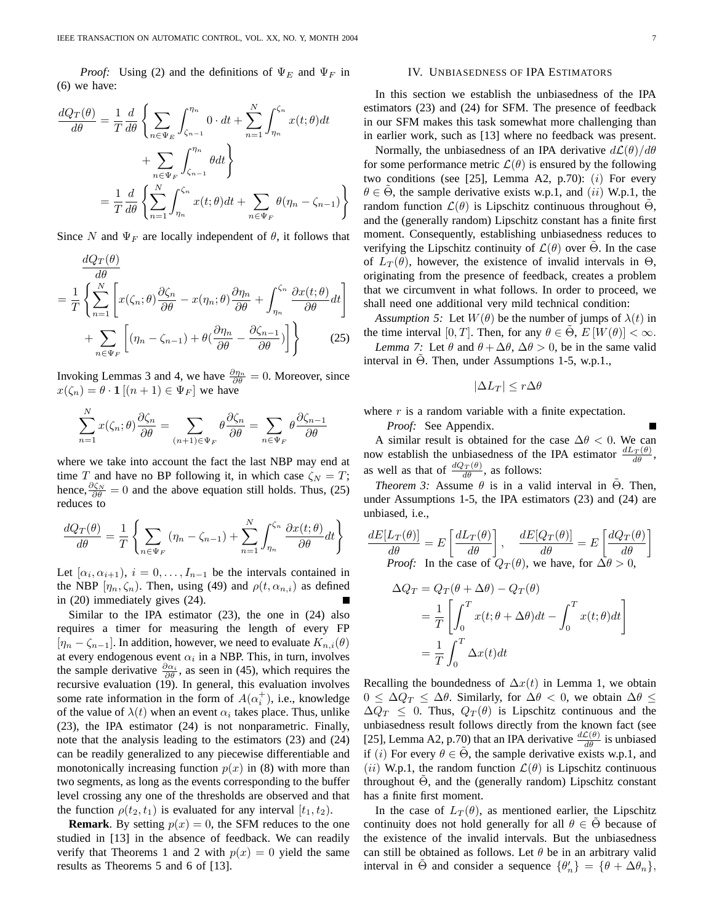*Proof:* Using (2) and the definitions of  $\Psi_E$  and  $\Psi_F$  in (6) we have:

$$
\frac{dQ_T(\theta)}{d\theta} = \frac{1}{T} \frac{d}{d\theta} \left\{ \sum_{n \in \Psi_E} \int_{\zeta_{n-1}}^{\eta_n} 0 \cdot dt + \sum_{n=1}^N \int_{\eta_n}^{\zeta_n} x(t; \theta) dt \right. \\ \left. + \sum_{n \in \Psi_F} \int_{\zeta_{n-1}}^{\eta_n} \theta dt \right\} \\ = \frac{1}{T} \frac{d}{d\theta} \left\{ \sum_{n=1}^N \int_{\eta_n}^{\zeta_n} x(t; \theta) dt + \sum_{n \in \Psi_F} \theta(\eta_n - \zeta_{n-1}) \right\}
$$

Since N and  $\Psi_F$  are locally independent of  $\theta$ , it follows that

$$
\frac{dQ_T(\theta)}{d\theta} = \frac{1}{T} \left\{ \sum_{n=1}^N \left[ x(\zeta_n; \theta) \frac{\partial \zeta_n}{\partial \theta} - x(\eta_n; \theta) \frac{\partial \eta_n}{\partial \theta} + \int_{\eta_n}^{\zeta_n} \frac{\partial x(t; \theta)}{\partial \theta} dt \right] + \sum_{n \in \Psi_F} \left[ (\eta_n - \zeta_{n-1}) + \theta \left( \frac{\partial \eta_n}{\partial \theta} - \frac{\partial \zeta_{n-1}}{\partial \theta} \right) \right] \right\}
$$
(25)

Invoking Lemmas 3 and 4, we have  $\frac{\partial \eta_n}{\partial \theta} = 0$ . Moreover, since  $x(\zeta_n) = \theta \cdot \mathbf{1} \left[ (n+1) \in \Psi_F \right]$  we have

$$
\sum_{n=1}^{N} x(\zeta_n; \theta) \frac{\partial \zeta_n}{\partial \theta} = \sum_{(n+1) \in \Psi_F} \theta \frac{\partial \zeta_n}{\partial \theta} = \sum_{n \in \Psi_F} \theta \frac{\partial \zeta_{n-1}}{\partial \theta}
$$

N

where we take into account the fact the last NBP may end at time T and have no BP following it, in which case  $\zeta_N = T$ ; hence,  $\frac{\partial \zeta_N}{\partial \theta} = 0$  and the above equation still holds. Thus, (25) reduces to

$$
\frac{dQ_T(\theta)}{d\theta} = \frac{1}{T} \left\{ \sum_{n \in \Psi_F} (\eta_n - \zeta_{n-1}) + \sum_{n=1}^N \int_{\eta_n}^{\zeta_n} \frac{\partial x(t; \theta)}{\partial \theta} dt \right\}
$$

Let  $[\alpha_i, \alpha_{i+1}), i = 0, \ldots, I_{n-1}$  be the intervals contained in the NBP  $[\eta_n, \zeta_n]$ . Then, using (49) and  $\rho(t, \alpha_{n,i})$  as defined in (20) immediately gives (24).

Similar to the IPA estimator (23), the one in (24) also requires a timer for measuring the length of every FP  $[\eta_n - \zeta_{n-1}]$ . In addition, however, we need to evaluate  $K_{n,i}(\theta)$ at every endogenous event  $\alpha_i$  in a NBP. This, in turn, involves the sample derivative  $\frac{\partial \alpha_i}{\partial \theta}$ , as seen in (45), which requires the recursive evaluation (19). In general, this evaluation involves some rate information in the form of  $A(\alpha_i^+)$ , i.e., knowledge of the value of  $\lambda(t)$  when an event  $\alpha_i$  takes place. Thus, unlike (23), the IPA estimator (24) is not nonparametric. Finally, note that the analysis leading to the estimators (23) and (24) can be readily generalized to any piecewise differentiable and monotonically increasing function  $p(x)$  in (8) with more than two segments, as long as the events corresponding to the buffer level crossing any one of the thresholds are observed and that the function  $\rho(t_2, t_1)$  is evaluated for any interval  $[t_1, t_2)$ .

**Remark**. By setting  $p(x) = 0$ , the SFM reduces to the one studied in [13] in the absence of feedback. We can readily verify that Theorems 1 and 2 with  $p(x) = 0$  yield the same results as Theorems 5 and 6 of [13].

#### IV. UNBIASEDNESS OF IPA ESTIMATORS

In this section we establish the unbiasedness of the IPA estimators (23) and (24) for SFM. The presence of feedback in our SFM makes this task somewhat more challenging than in earlier work, such as [13] where no feedback was present.

Normally, the unbiasedness of an IPA derivative  $d\mathcal{L}(\theta)/d\theta$ for some performance metric  $\mathcal{L}(\theta)$  is ensured by the following two conditions (see [25], Lemma A2, p.70):  $(i)$  For every  $\theta \in \Theta$ , the sample derivative exists w.p.1, and (ii) W.p.1, the random function  $\mathcal{L}(\theta)$  is Lipschitz continuous throughout  $\Theta$ , and the (generally random) Lipschitz constant has a finite first moment. Consequently, establishing unbiasedness reduces to verifying the Lipschitz continuity of  $\mathcal{L}(\theta)$  over  $\Theta$ . In the case of  $L_T(\theta)$ , however, the existence of invalid intervals in  $\Theta$ , originating from the presence of feedback, creates a problem that we circumvent in what follows. In order to proceed, we shall need one additional very mild technical condition:

*Assumption 5:* Let  $W(\theta)$  be the number of jumps of  $\lambda(t)$  in the time interval [0, T]. Then, for any  $\theta \in \tilde{\Theta}$ ,  $E[W(\theta)] < \infty$ . *Lemma 7:* Let  $\theta$  and  $\theta + \Delta\theta$ ,  $\Delta\theta > 0$ , be in the same valid interval in  $\Theta$ . Then, under Assumptions 1-5, w.p.1.,

$$
|\Delta L_T| \leq r \Delta \theta
$$

where  $r$  is a random variable with a finite expectation.

*Proof:* See Appendix.

A similar result is obtained for the case  $\Delta\theta$  < 0. We can now establish the unbiasedness of the IPA estimator  $\frac{dL_T(\theta)}{d\theta}$ , as well as that of  $\frac{dQ_T(\theta)}{d\theta}$ , as follows:

*Theorem 3:* Assume  $\theta$  is in a valid interval in  $\Theta$ . Then, under Assumptions 1-5, the IPA estimators (23) and (24) are unbiased, i.e.,

$$
\frac{dE[L_T(\theta)]}{d\theta} = E\left[\frac{dL_T(\theta)}{d\theta}\right], \quad \frac{dE[Q_T(\theta)]}{d\theta} = E\left[\frac{dQ_T(\theta)}{d\theta}\right]
$$
  
*Proof:* In the case of  $Q_T(\theta)$ , we have, for  $\Delta\theta > 0$ ,

$$
\Delta Q_T = Q_T(\theta + \Delta \theta) - Q_T(\theta)
$$
  
=  $\frac{1}{T} \left[ \int_0^T x(t; \theta + \Delta \theta) dt - \int_0^T x(t; \theta) dt \right]$   
=  $\frac{1}{T} \int_0^T \Delta x(t) dt$ 

Recalling the boundedness of  $\Delta x(t)$  in Lemma 1, we obtain  $0 \leq \Delta Q_T \leq \Delta \theta$ . Similarly, for  $\Delta \theta < 0$ , we obtain  $\Delta \theta \leq$  $\Delta Q_T \leq 0$ . Thus,  $Q_T(\theta)$  is Lipschitz continuous and the unbiasedness result follows directly from the known fact (see [25], Lemma A2, p.70) that an IPA derivative  $\frac{d\mathcal{L}(\theta)}{d\theta}$  is unbiased if (i) For every  $\theta \in \Theta$ , the sample derivative exists w.p.1, and (*ii*) W.p.1, the random function  $\mathcal{L}(\theta)$  is Lipschitz continuous throughout  $\Theta$ , and the (generally random) Lipschitz constant has a finite first moment.

In the case of  $L_T(\theta)$ , as mentioned earlier, the Lipschitz continuity does not hold generally for all  $\theta \in \Theta$  because of the existence of the invalid intervals. But the unbiasedness can still be obtained as follows. Let  $\theta$  be in an arbitrary valid interval in  $\tilde{\Theta}$  and consider a sequence  $\{\theta'_n\} = \{\theta + \Delta \theta_n\},\$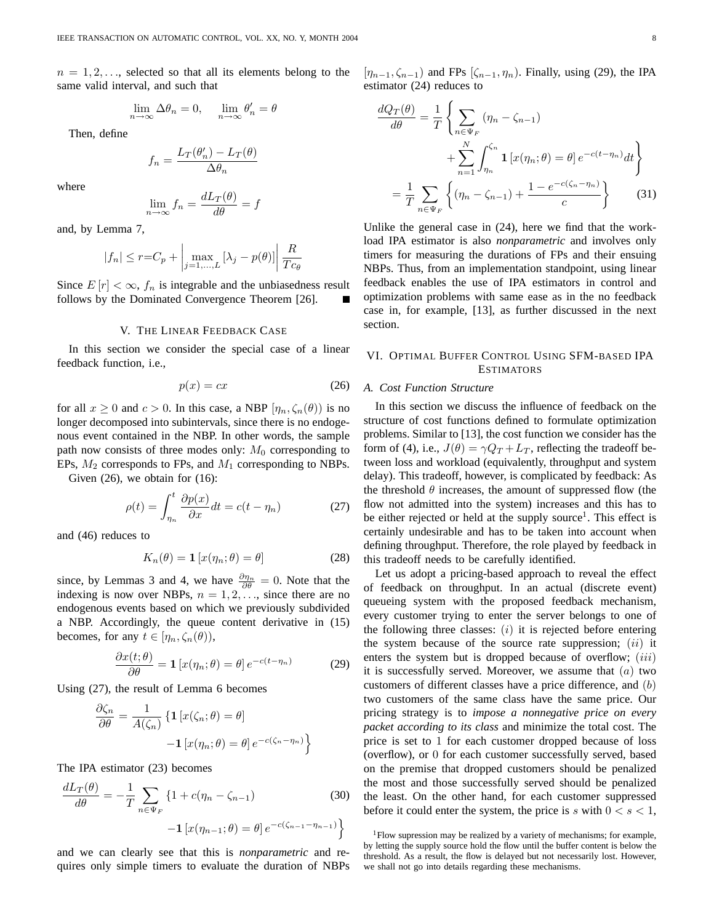$n = 1, 2, \ldots$ , selected so that all its elements belong to the same valid interval, and such that

$$
\lim_{n \to \infty} \Delta \theta_n = 0, \quad \lim_{n \to \infty} \theta'_n = \theta
$$

Then, define

$$
f_n = \frac{L_T(\theta_n') - L_T(\theta)}{\Delta \theta_n}
$$

where

$$
\lim_{n \to \infty} f_n = \frac{dL_T(\theta)}{d\theta} = f
$$

and, by Lemma 7,

$$
|f_n| \le r = C_p + \left| \max_{j=1,\dots,L} \left[ \lambda_j - p(\theta) \right] \right| \frac{R}{T c_{\theta}}
$$

Since  $E[r] < \infty$ ,  $f_n$  is integrable and the unbiasedness result follows by the Dominated Convergence Theorem [26].

# V. THE LINEAR FEEDBACK CASE

In this section we consider the special case of a linear feedback function, i.e.,

$$
p(x) = cx \tag{26}
$$

for all  $x \ge 0$  and  $c > 0$ . In this case, a NBP  $[\eta_n, \zeta_n(\theta)]$  is no longer decomposed into subintervals, since there is no endogenous event contained in the NBP. In other words, the sample path now consists of three modes only:  $M_0$  corresponding to EPs,  $M_2$  corresponds to FPs, and  $M_1$  corresponding to NBPs.

Given  $(26)$ , we obtain for  $(16)$ :

$$
\rho(t) = \int_{\eta_n}^t \frac{\partial p(x)}{\partial x} dt = c(t - \eta_n) \tag{27}
$$

and (46) reduces to

$$
K_n(\theta) = \mathbf{1} \left[ x(\eta_n; \theta) = \theta \right] \tag{28}
$$

since, by Lemmas 3 and 4, we have  $\frac{\partial \eta_n}{\partial \theta} = 0$ . Note that the indexing is now over NBPs,  $n = 1, 2, \dots$ , since there are no endogenous events based on which we previously subdivided a NBP. Accordingly, the queue content derivative in (15) becomes, for any  $t \in [\eta_n, \zeta_n(\theta)],$ 

$$
\frac{\partial x(t;\theta)}{\partial \theta} = \mathbf{1} \left[ x(\eta_n; \theta) = \theta \right] e^{-c(t - \eta_n)}
$$
(29)

Using (27), the result of Lemma 6 becomes

$$
\frac{\partial \zeta_n}{\partial \theta} = \frac{1}{A(\zeta_n)} \left\{ \mathbf{1} \left[ x(\zeta_n; \theta) = \theta \right] - \mathbf{1} \left[ x(\eta_n; \theta) = \theta \right] e^{-c(\zeta_n - \eta_n)} \right\}
$$

The IPA estimator (23) becomes

$$
\frac{dL_T(\theta)}{d\theta} = -\frac{1}{T} \sum_{n \in \Psi_F} \{1 + c(\eta_n - \zeta_{n-1})
$$
(30)  
-1  $[x(\eta_{n-1}; \theta) = \theta] e^{-c(\zeta_{n-1} - \eta_{n-1})} \}$ 

and we can clearly see that this is *nonparametric* and requires only simple timers to evaluate the duration of NBPs  $[\eta_{n-1}, \zeta_{n-1}]$  and FPs  $[\zeta_{n-1}, \eta_n]$ . Finally, using (29), the IPA estimator (24) reduces to

$$
\frac{dQ_T(\theta)}{d\theta} = \frac{1}{T} \left\{ \sum_{n \in \Psi_F} (\eta_n - \zeta_{n-1}) + \sum_{n=1}^N \int_{\eta_n}^{\zeta_n} \mathbf{1} \left[ x(\eta_n; \theta) = \theta \right] e^{-c(t - \eta_n)} dt \right\}
$$

$$
= \frac{1}{T} \sum_{n \in \Psi_F} \left\{ (\eta_n - \zeta_{n-1}) + \frac{1 - e^{-c(\zeta_n - \eta_n)}}{c} \right\} \tag{31}
$$

Unlike the general case in (24), here we find that the workload IPA estimator is also *nonparametric* and involves only timers for measuring the durations of FPs and their ensuing NBPs. Thus, from an implementation standpoint, using linear feedback enables the use of IPA estimators in control and optimization problems with same ease as in the no feedback case in, for example, [13], as further discussed in the next section.

# VI. OPTIMAL BUFFER CONTROL USING SFM-BASED IPA **ESTIMATORS**

#### *A. Cost Function Structure*

In this section we discuss the influence of feedback on the structure of cost functions defined to formulate optimization problems. Similar to [13], the cost function we consider has the form of (4), i.e.,  $J(\theta) = \gamma Q_T + L_T$ , reflecting the tradeoff between loss and workload (equivalently, throughput and system delay). This tradeoff, however, is complicated by feedback: As the threshold  $\theta$  increases, the amount of suppressed flow (the flow not admitted into the system) increases and this has to be either rejected or held at the supply source<sup>1</sup>. This effect is certainly undesirable and has to be taken into account when defining throughput. Therefore, the role played by feedback in this tradeoff needs to be carefully identified.

Let us adopt a pricing-based approach to reveal the effect of feedback on throughput. In an actual (discrete event) queueing system with the proposed feedback mechanism, every customer trying to enter the server belongs to one of the following three classes:  $(i)$  it is rejected before entering the system because of the source rate suppression;  $(ii)$  it enters the system but is dropped because of overflow;  $(iii)$ it is successfully served. Moreover, we assume that  $(a)$  two customers of different classes have a price difference, and (b) two customers of the same class have the same price. Our pricing strategy is to *impose a nonnegative price on every packet according to its class* and minimize the total cost. The price is set to 1 for each customer dropped because of loss (overflow), or 0 for each customer successfully served, based on the premise that dropped customers should be penalized the most and those successfully served should be penalized the least. On the other hand, for each customer suppressed before it could enter the system, the price is s with  $0 < s < 1$ ,

<sup>&</sup>lt;sup>1</sup>Flow supression may be realized by a variety of mechanisms; for example, by letting the supply source hold the flow until the buffer content is below the threshold. As a result, the flow is delayed but not necessarily lost. However, we shall not go into details regarding these mechanisms.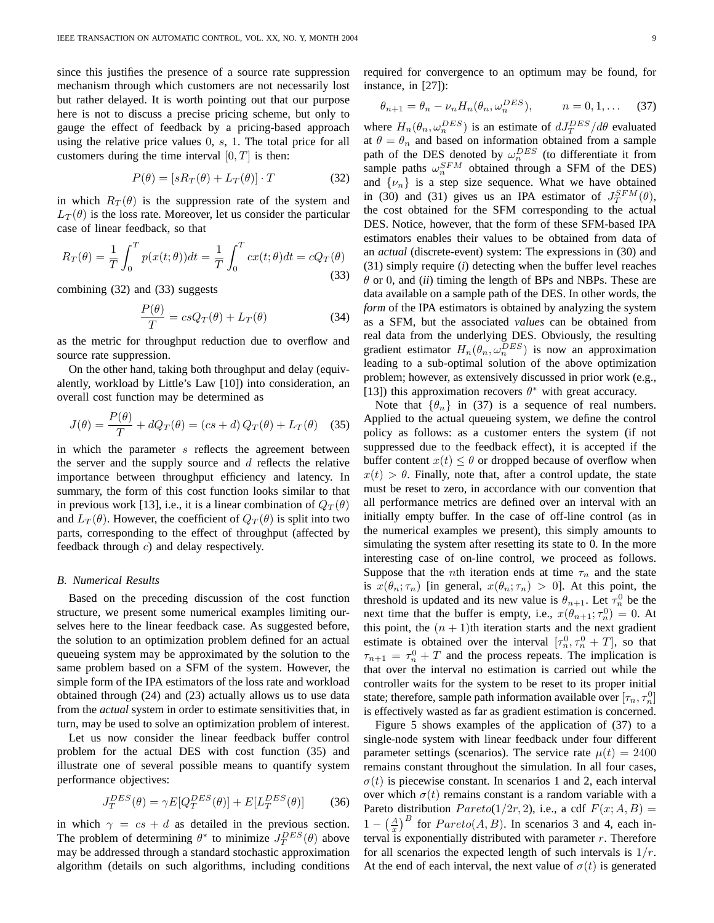since this justifies the presence of a source rate suppression mechanism through which customers are not necessarily lost but rather delayed. It is worth pointing out that our purpose here is not to discuss a precise pricing scheme, but only to gauge the effect of feedback by a pricing-based approach using the relative price values  $0, s, 1$ . The total price for all customers during the time interval  $[0, T]$  is then:

$$
P(\theta) = [sR_T(\theta) + L_T(\theta)] \cdot T \tag{32}
$$

in which  $R_T(\theta)$  is the suppression rate of the system and  $L_T(\theta)$  is the loss rate. Moreover, let us consider the particular case of linear feedback, so that

$$
R_T(\theta) = \frac{1}{T} \int_0^T p(x(t; \theta)) dt = \frac{1}{T} \int_0^T cx(t; \theta) dt = cQ_T(\theta)
$$
\n(33)

combining (32) and (33) suggests

$$
\frac{P(\theta)}{T} = csQ_T(\theta) + L_T(\theta)
$$
\n(34)

as the metric for throughput reduction due to overflow and source rate suppression.

On the other hand, taking both throughput and delay (equivalently, workload by Little's Law [10]) into consideration, an overall cost function may be determined as

$$
J(\theta) = \frac{P(\theta)}{T} + dQ_T(\theta) = (cs + d) Q_T(\theta) + L_T(\theta)
$$
 (35)

in which the parameter  $s$  reflects the agreement between the server and the supply source and  $d$  reflects the relative importance between throughput efficiency and latency. In summary, the form of this cost function looks similar to that in previous work [13], i.e., it is a linear combination of  $Q_T(\theta)$ and  $L_T(\theta)$ . However, the coefficient of  $Q_T(\theta)$  is split into two parts, corresponding to the effect of throughput (affected by feedback through c) and delay respectively.

#### *B. Numerical Results*

Based on the preceding discussion of the cost function structure, we present some numerical examples limiting ourselves here to the linear feedback case. As suggested before, the solution to an optimization problem defined for an actual queueing system may be approximated by the solution to the same problem based on a SFM of the system. However, the simple form of the IPA estimators of the loss rate and workload obtained through (24) and (23) actually allows us to use data from the *actual* system in order to estimate sensitivities that, in turn, may be used to solve an optimization problem of interest.

Let us now consider the linear feedback buffer control problem for the actual DES with cost function (35) and illustrate one of several possible means to quantify system performance objectives:

$$
J_T^{DES}(\theta) = \gamma E[Q_T^{DES}(\theta)] + E[L_T^{DES}(\theta)] \tag{36}
$$

in which  $\gamma = cs + d$  as detailed in the previous section. The problem of determining  $\theta^*$  to minimize  $J_T^{DES}(\theta)$  above may be addressed through a standard stochastic approximation algorithm (details on such algorithms, including conditions required for convergence to an optimum may be found, for instance, in [27]):

$$
\theta_{n+1} = \theta_n - \nu_n H_n(\theta_n, \omega_n^{DES}), \qquad n = 0, 1, \dots \quad (37)
$$

where  $H_n(\theta_n, \omega_n^{DES})$  is an estimate of  $dJ_T^{DES}/d\theta$  evaluated at  $\theta = \theta_n$  and based on information obtained from a sample path of the DES denoted by  $\omega_n^{DES}$  (to differentiate it from sample paths  $\omega_n^{SFM}$  obtained through a SFM of the DES) and  $\{\nu_n\}$  is a step size sequence. What we have obtained in (30) and (31) gives us an IPA estimator of  $J_T^{SFM}(\theta)$ , the cost obtained for the SFM corresponding to the actual DES. Notice, however, that the form of these SFM-based IPA estimators enables their values to be obtained from data of an *actual* (discrete-event) system: The expressions in (30) and (31) simply require (*i*) detecting when the buffer level reaches  $\theta$  or 0, and *(ii)* timing the length of BPs and NBPs. These are data available on a sample path of the DES. In other words, the *form* of the IPA estimators is obtained by analyzing the system as a SFM, but the associated *values* can be obtained from real data from the underlying DES. Obviously, the resulting gradient estimator  $H_n(\theta_n, \omega_n^{DES})$  is now an approximation leading to a sub-optimal solution of the above optimization problem; however, as extensively discussed in prior work (e.g., [13]) this approximation recovers  $\theta^*$  with great accuracy.

Note that  $\{\theta_n\}$  in (37) is a sequence of real numbers. Applied to the actual queueing system, we define the control policy as follows: as a customer enters the system (if not suppressed due to the feedback effect), it is accepted if the buffer content  $x(t) \leq \theta$  or dropped because of overflow when  $x(t) > \theta$ . Finally, note that, after a control update, the state must be reset to zero, in accordance with our convention that all performance metrics are defined over an interval with an initially empty buffer. In the case of off-line control (as in the numerical examples we present), this simply amounts to simulating the system after resetting its state to 0. In the more interesting case of on-line control, we proceed as follows. Suppose that the *n*th iteration ends at time  $\tau_n$  and the state is  $x(\theta_n; \tau_n)$  [in general,  $x(\theta_n; \tau_n) > 0$ ]. At this point, the threshold is updated and its new value is  $\theta_{n+1}$ . Let  $\tau_n^0$  be the next time that the buffer is empty, i.e.,  $x(\theta_{n+1}; \tau_n^0) = 0$ . At this point, the  $(n + 1)$ th iteration starts and the next gradient estimate is obtained over the interval  $[\tau_n^0, \tau_n^0 + T]$ , so that  $\tau_{n+1} = \tau_n^0 + T$  and the process repeats. The implication is that over the interval no estimation is carried out while the controller waits for the system to be reset to its proper initial state; therefore, sample path information available over  $[\tau_n, \tau_n^0]$ is effectively wasted as far as gradient estimation is concerned.

Figure 5 shows examples of the application of (37) to a single-node system with linear feedback under four different parameter settings (scenarios). The service rate  $\mu(t) = 2400$ remains constant throughout the simulation. In all four cases,  $\sigma(t)$  is piecewise constant. In scenarios 1 and 2, each interval over which  $\sigma(t)$  remains constant is a random variable with a Pareto distribution  $Pareto(1/2r, 2)$ , i.e., a cdf  $F(x; A, B) =$  $1 - \left(\frac{A}{x}\right)$  $\int_B^B$  for  $Pareto(A, B)$ . In scenarios 3 and 4, each interval is exponentially distributed with parameter  $r$ . Therefore for all scenarios the expected length of such intervals is  $1/r$ . At the end of each interval, the next value of  $\sigma(t)$  is generated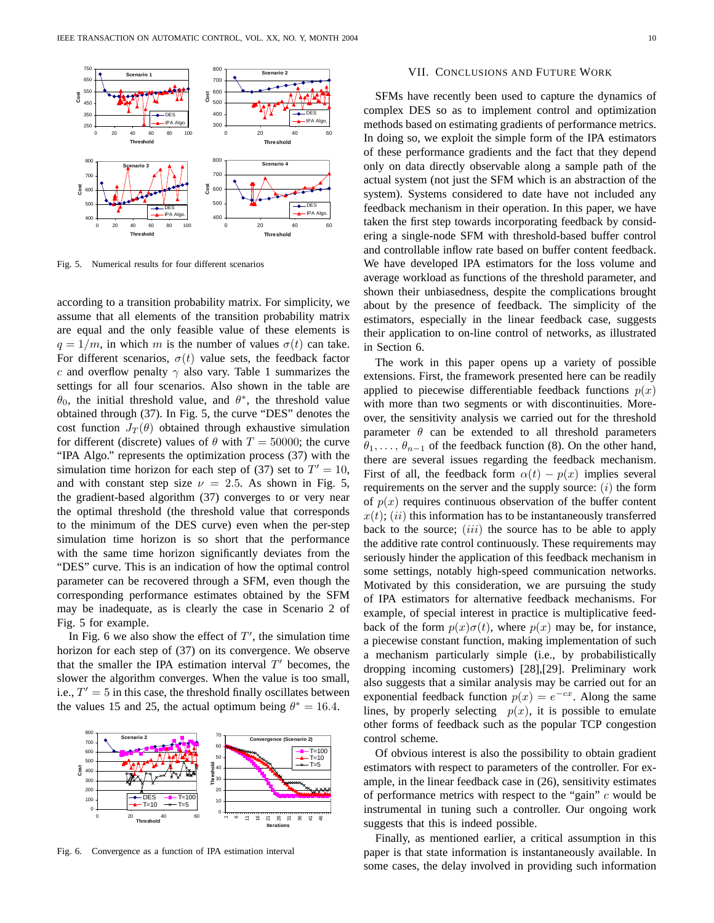

Fig. 5. Numerical results for four different scenarios

according to a transition probability matrix. For simplicity, we assume that all elements of the transition probability matrix are equal and the only feasible value of these elements is  $q = 1/m$ , in which m is the number of values  $\sigma(t)$  can take. For different scenarios,  $\sigma(t)$  value sets, the feedback factor c and overflow penalty  $\gamma$  also vary. Table 1 summarizes the settings for all four scenarios. Also shown in the table are  $\theta_0$ , the initial threshold value, and  $\theta^*$ , the threshold value obtained through (37). In Fig. 5, the curve "DES" denotes the cost function  $J_T(\theta)$  obtained through exhaustive simulation for different (discrete) values of  $\theta$  with  $T = 50000$ ; the curve "IPA Algo." represents the optimization process (37) with the simulation time horizon for each step of (37) set to  $T' = 10$ , and with constant step size  $\nu = 2.5$ . As shown in Fig. 5, the gradient-based algorithm (37) converges to or very near the optimal threshold (the threshold value that corresponds to the minimum of the DES curve) even when the per-step simulation time horizon is so short that the performance with the same time horizon significantly deviates from the "DES" curve. This is an indication of how the optimal control parameter can be recovered through a SFM, even though the corresponding performance estimates obtained by the SFM may be inadequate, as is clearly the case in Scenario 2 of Fig. 5 for example.

In Fig. 6 we also show the effect of  $T'$ , the simulation time horizon for each step of  $(37)$  on its convergence. We observe that the smaller the IPA estimation interval  $T'$  becomes, the slower the algorithm converges. When the value is too small, i.e.,  $T' = 5$  in this case, the threshold finally oscillates between the values 15 and 25, the actual optimum being  $\theta^* = 16.4$ .



Fig. 6. Convergence as a function of IPA estimation interval

# VII. CONCLUSIONS AND FUTURE WORK

SFMs have recently been used to capture the dynamics of complex DES so as to implement control and optimization methods based on estimating gradients of performance metrics. In doing so, we exploit the simple form of the IPA estimators of these performance gradients and the fact that they depend only on data directly observable along a sample path of the actual system (not just the SFM which is an abstraction of the system). Systems considered to date have not included any feedback mechanism in their operation. In this paper, we have taken the first step towards incorporating feedback by considering a single-node SFM with threshold-based buffer control and controllable inflow rate based on buffer content feedback. We have developed IPA estimators for the loss volume and average workload as functions of the threshold parameter, and shown their unbiasedness, despite the complications brought about by the presence of feedback. The simplicity of the estimators, especially in the linear feedback case, suggests their application to on-line control of networks, as illustrated in Section 6.

The work in this paper opens up a variety of possible extensions. First, the framework presented here can be readily applied to piecewise differentiable feedback functions  $p(x)$ with more than two segments or with discontinuities. Moreover, the sensitivity analysis we carried out for the threshold parameter  $\theta$  can be extended to all threshold parameters  $\theta_1, \ldots, \theta_{n-1}$  of the feedback function (8). On the other hand, there are several issues regarding the feedback mechanism. First of all, the feedback form  $\alpha(t) - p(x)$  implies several requirements on the server and the supply source:  $(i)$  the form of  $p(x)$  requires continuous observation of the buffer content  $x(t)$ ; (ii) this information has to be instantaneously transferred back to the source;  $(iii)$  the source has to be able to apply the additive rate control continuously. These requirements may seriously hinder the application of this feedback mechanism in some settings, notably high-speed communication networks. Motivated by this consideration, we are pursuing the study of IPA estimators for alternative feedback mechanisms. For example, of special interest in practice is multiplicative feedback of the form  $p(x)\sigma(t)$ , where  $p(x)$  may be, for instance, a piecewise constant function, making implementation of such a mechanism particularly simple (i.e., by probabilistically dropping incoming customers) [28],[29]. Preliminary work also suggests that a similar analysis may be carried out for an exponential feedback function  $p(x) = e^{-cx}$ . Along the same lines, by properly selecting  $p(x)$ , it is possible to emulate other forms of feedback such as the popular TCP congestion control scheme.

Of obvious interest is also the possibility to obtain gradient estimators with respect to parameters of the controller. For example, in the linear feedback case in (26), sensitivity estimates of performance metrics with respect to the "gain"  $c$  would be instrumental in tuning such a controller. Our ongoing work suggests that this is indeed possible.

Finally, as mentioned earlier, a critical assumption in this paper is that state information is instantaneously available. In some cases, the delay involved in providing such information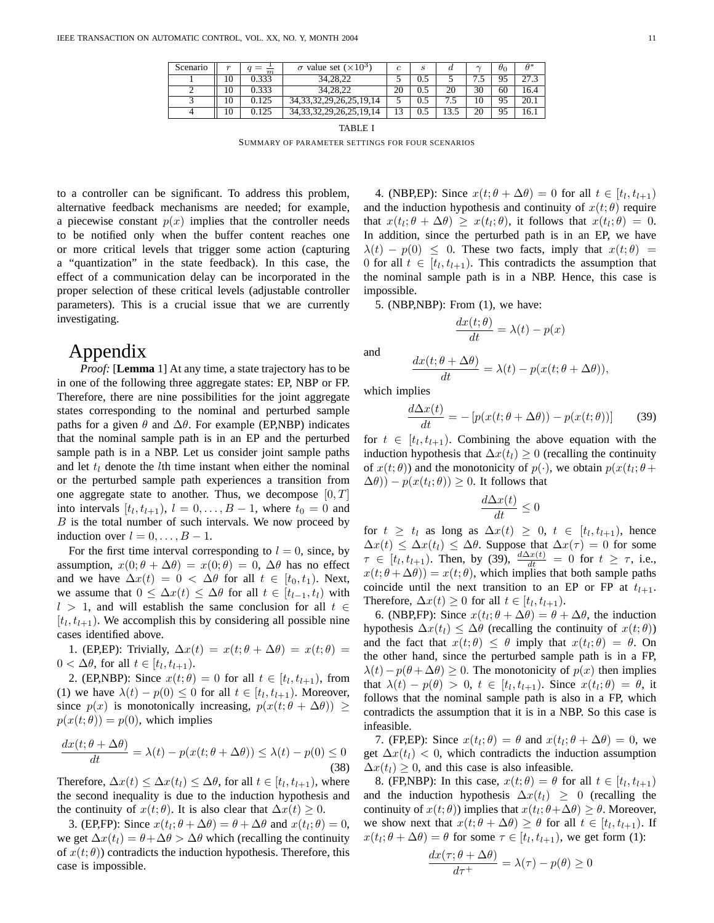| Scenario | $\alpha$ | m     | $\sigma$ value set ( $\times 10^3$ ) | c  | S   | $\boldsymbol{a}$ | $\sim$ | $\theta_0$ | $\theta^*$ |
|----------|----------|-------|--------------------------------------|----|-----|------------------|--------|------------|------------|
|          | 10       | 0.333 | 34, 28, 22                           |    | 0.5 |                  | ن.     | 95         | 27.3       |
|          | 10       | 0.333 | 34.28.22                             | 20 | 0.5 | 20               | 30     | 60         | 16.4       |
|          | 10       | 0.125 | 34, 33, 32, 29, 26, 25, 19, 14       |    | 0.5 |                  | 10     | 95         | 20.1       |
|          | 10       | 0.125 | 34, 33, 32, 29, 26, 25, 19, 14       | 13 | 0.5 | 13.5             | 20     | 95         | 16.1       |

TABLE I SUMMARY OF PARAMETER SETTINGS FOR FOUR SCENARIOS

to a controller can be significant. To address this problem, alternative feedback mechanisms are needed; for example, a piecewise constant  $p(x)$  implies that the controller needs to be notified only when the buffer content reaches one or more critical levels that trigger some action (capturing a "quantization" in the state feedback). In this case, the effect of a communication delay can be incorporated in the proper selection of these critical levels (adjustable controller parameters). This is a crucial issue that we are currently investigating.

# Appendix

*Proof:* [**Lemma** 1] At any time, a state trajectory has to be in one of the following three aggregate states: EP, NBP or FP. Therefore, there are nine possibilities for the joint aggregate states corresponding to the nominal and perturbed sample paths for a given  $\theta$  and  $\Delta\theta$ . For example (EP,NBP) indicates that the nominal sample path is in an EP and the perturbed sample path is in a NBP. Let us consider joint sample paths and let  $t_l$  denote the *l*th time instant when either the nominal or the perturbed sample path experiences a transition from one aggregate state to another. Thus, we decompose  $[0, T]$ into intervals  $[t_l, t_{l+1}), l = 0, \ldots, B-1$ , where  $t_0 = 0$  and  $B$  is the total number of such intervals. We now proceed by induction over  $l = 0, \ldots, B - 1$ .

For the first time interval corresponding to  $l = 0$ , since, by assumption,  $x(0; \theta + \Delta\theta) = x(0; \theta) = 0$ ,  $\Delta\theta$  has no effect and we have  $\Delta x(t) = 0 < \Delta \theta$  for all  $t \in [t_0, t_1)$ . Next, we assume that  $0 \leq \Delta x(t) \leq \Delta \theta$  for all  $t \in [t_{l-1}, t_l)$  with  $l > 1$ , and will establish the same conclusion for all  $t \in$  $[t_l, t_{l+1})$ . We accomplish this by considering all possible nine cases identified above.

1. (EP,EP): Trivially,  $\Delta x(t) = x(t; \theta + \Delta \theta) = x(t; \theta) =$  $0 < \Delta \theta$ , for all  $t \in [t_l, t_{l+1})$ .

2. (EP,NBP): Since  $x(t; \theta) = 0$  for all  $t \in [t_l, t_{l+1})$ , from (1) we have  $\lambda(t) - p(0) \leq 0$  for all  $t \in [t_l, t_{l+1})$ . Moreover, since  $p(x)$  is monotonically increasing,  $p(x(t; \theta + \Delta\theta)) \ge$  $p(x(t; \theta)) = p(0)$ , which implies

$$
\frac{dx(t; \theta + \Delta\theta)}{dt} = \lambda(t) - p(x(t; \theta + \Delta\theta)) \le \lambda(t) - p(0) \le 0
$$
\n(38)

Therefore,  $\Delta x(t) \leq \Delta x(t_l) \leq \Delta \theta$ , for all  $t \in [t_l, t_{l+1})$ , where the second inequality is due to the induction hypothesis and the continuity of  $x(t; \theta)$ . It is also clear that  $\Delta x(t) \geq 0$ .

3. (EP,FP): Since  $x(t_i; \theta + \Delta\theta) = \theta + \Delta\theta$  and  $x(t_i; \theta) = 0$ , we get  $\Delta x(t) = \theta + \Delta \theta > \Delta \theta$  which (recalling the continuity of  $x(t; \theta)$ ) contradicts the induction hypothesis. Therefore, this case is impossible.

4. (NBP,EP): Since  $x(t; \theta + \Delta\theta) = 0$  for all  $t \in [t_1, t_{l+1})$ and the induction hypothesis and continuity of  $x(t; \theta)$  require that  $x(t_l; \theta + \Delta\theta) \geq x(t_l; \theta)$ , it follows that  $x(t_l; \theta) = 0$ . In addition, since the perturbed path is in an EP, we have  $\lambda(t) - p(0) \leq 0$ . These two facts, imply that  $x(t; \theta) =$ 0 for all  $t \in [t_l, t_{l+1})$ . This contradicts the assumption that the nominal sample path is in a NBP. Hence, this case is impossible.

5. (NBP,NBP): From (1), we have:

$$
\frac{dx(t; \theta)}{dt} = \lambda(t) - p(x)
$$

and

$$
\frac{dx(t; \theta + \Delta\theta)}{dt} = \lambda(t) - p(x(t; \theta + \Delta\theta)),
$$

which implies

$$
\frac{d\Delta x(t)}{dt} = -\left[p(x(t;\theta + \Delta\theta)) - p(x(t;\theta))\right]
$$
(39)

for  $t \in [t_l, t_{l+1})$ . Combining the above equation with the induction hypothesis that  $\Delta x(t) \geq 0$  (recalling the continuity of  $x(t; \theta)$ ) and the monotonicity of  $p(\cdot)$ , we obtain  $p(x(t_l; \theta +$  $(\Delta \theta)$ ) –  $p(x(t_l; \theta)) \geq 0$ . It follows that

$$
\frac{d\Delta x(t)}{dt} \le 0
$$

for  $t \geq t_l$  as long as  $\Delta x(t) \geq 0$ ,  $t \in [t_l, t_{l+1})$ , hence  $\Delta x(t) \leq \Delta x(t_1) \leq \Delta \theta$ . Suppose that  $\Delta x(\tau) = 0$  for some  $\tau \in [t_l, t_{l+1})$ . Then, by (39),  $\frac{d\Delta x(t)}{dt} = 0$  for  $t \geq \tau$ , i.e.,  $x(t; \theta + \Delta\theta) = x(t; \theta)$ , which implies that both sample paths coincide until the next transition to an EP or FP at  $t_{l+1}$ . Therefore,  $\Delta x(t) \geq 0$  for all  $t \in [t_l, t_{l+1})$ .

6. (NBP,FP): Since  $x(t_i; \theta + \Delta\theta) = \theta + \Delta\theta$ , the induction hypothesis  $\Delta x(t_l) \leq \Delta \theta$  (recalling the continuity of  $x(t; \theta)$ ) and the fact that  $x(t; \theta) \leq \theta$  imply that  $x(t_i; \theta) = \theta$ . On the other hand, since the perturbed sample path is in a FP,  $\lambda(t) - p(\theta + \Delta\theta) \geq 0$ . The monotonicity of  $p(x)$  then implies that  $\lambda(t) - p(\theta) > 0$ ,  $t \in [t_l, t_{l+1})$ . Since  $x(t_l; \theta) = \theta$ , it follows that the nominal sample path is also in a FP, which contradicts the assumption that it is in a NBP. So this case is infeasible.

7. (FP,EP): Since  $x(t_l; \theta) = \theta$  and  $x(t_l; \theta + \Delta\theta) = 0$ , we get  $\Delta x(t)$  < 0, which contradicts the induction assumption  $\Delta x(t) \geq 0$ , and this case is also infeasible.

8. (FP,NBP): In this case,  $x(t; \theta) = \theta$  for all  $t \in [t_l, t_{l+1})$ and the induction hypothesis  $\Delta x(t) \geq 0$  (recalling the continuity of  $x(t; \theta)$ ) implies that  $x(t_i; \theta + \Delta\theta) \ge \theta$ . Moreover, we show next that  $x(t; \theta + \Delta\theta) \geq \theta$  for all  $t \in [t_l, t_{l+1})$ . If  $x(t_l; \theta + \Delta\theta) = \theta$  for some  $\tau \in [t_l, t_{l+1})$ , we get form (1):

$$
\frac{dx(\tau;\theta + \Delta\theta)}{d\tau^+} = \lambda(\tau) - p(\theta) \ge 0
$$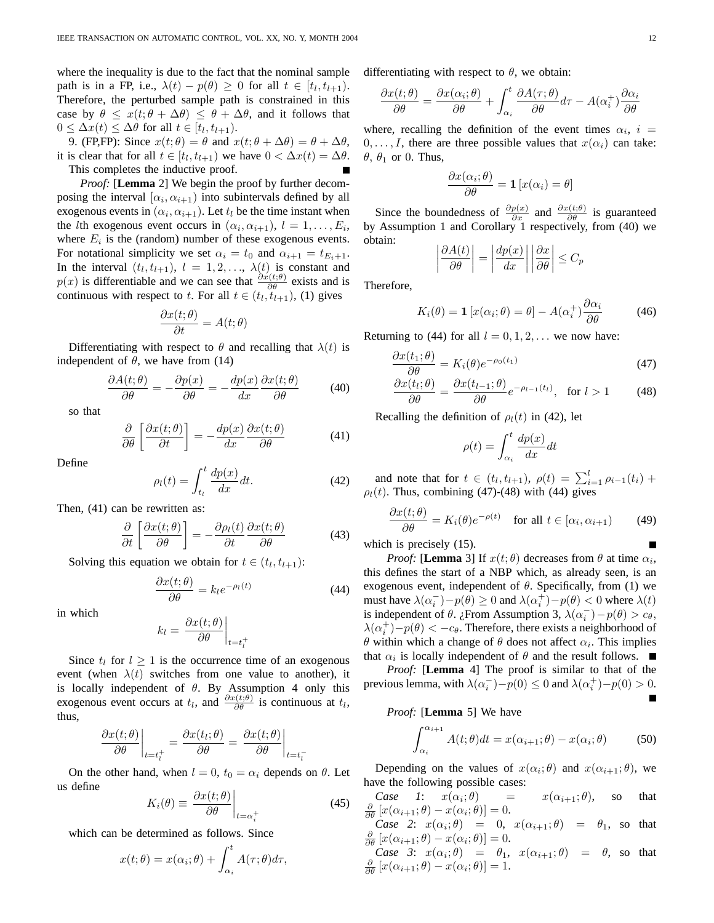where the inequality is due to the fact that the nominal sample path is in a FP, i.e.,  $\lambda(t) - p(\theta) \geq 0$  for all  $t \in [t_l, t_{l+1})$ . Therefore, the perturbed sample path is constrained in this case by  $\theta \leq x(t; \theta + \Delta \theta) \leq \theta + \Delta \theta$ , and it follows that  $0 \leq \Delta x(t) \leq \Delta \theta$  for all  $t \in [t_l, t_{l+1}).$ 

9. (FP,FP): Since  $x(t; \theta) = \theta$  and  $x(t; \theta + \Delta \theta) = \theta + \Delta \theta$ , it is clear that for all  $t \in [t_l, t_{l+1})$  we have  $0 < \Delta x(t) = \Delta \theta$ . This completes the inductive proof.

*Proof:* [**Lemma** 2] We begin the proof by further decomposing the interval  $[\alpha_i, \alpha_{i+1})$  into subintervals defined by all exogenous events in  $(\alpha_i, \alpha_{i+1})$ . Let  $t_l$  be the time instant when the *l*th exogenous event occurs in  $(\alpha_i, \alpha_{i+1}), l = 1, \ldots, E_i$ , where  $E_i$  is the (random) number of these exogenous events. For notational simplicity we set  $\alpha_i = t_0$  and  $\alpha_{i+1} = t_{E_i+1}$ . In the interval  $(t_l, t_{l+1}), l = 1, 2, ..., \lambda(t)$  is constant and  $p(x)$  is differentiable and we can see that  $\frac{\partial x(t;\theta)}{\partial \theta}$  exists and is continuous with respect to t. For all  $t \in (t_l, t_{l+1}),$  (1) gives

$$
\frac{\partial x(t; \theta)}{\partial t} = A(t; \theta)
$$

Differentiating with respect to  $\theta$  and recalling that  $\lambda(t)$  is independent of  $\theta$ , we have from (14)

$$
\frac{\partial A(t;\theta)}{\partial \theta} = -\frac{\partial p(x)}{\partial \theta} = -\frac{dp(x)}{dx} \frac{\partial x(t;\theta)}{\partial \theta} \tag{40}
$$

so that

$$
\frac{\partial}{\partial \theta} \left[ \frac{\partial x(t; \theta)}{\partial t} \right] = -\frac{dp(x)}{dx} \frac{\partial x(t; \theta)}{\partial \theta} \tag{41}
$$

Define

$$
\rho_l(t) = \int_{t_l}^t \frac{dp(x)}{dx} dt.
$$
\n(42)

Then, (41) can be rewritten as:

$$
\frac{\partial}{\partial t} \left[ \frac{\partial x(t; \theta)}{\partial \theta} \right] = -\frac{\partial \rho_l(t)}{\partial t} \frac{\partial x(t; \theta)}{\partial \theta} \tag{43}
$$

Solving this equation we obtain for  $t \in (t_l, t_{l+1})$ :

$$
\frac{\partial x(t;\theta)}{\partial \theta} = k_l e^{-\rho_l(t)} \tag{44}
$$

in which

$$
k_l = \left. \frac{\partial x(t; \theta)}{\partial \theta} \right|_{t=t_l^+}
$$

Since  $t_l$  for  $l \geq 1$  is the occurrence time of an exogenous event (when  $\lambda(t)$  switches from one value to another), it is locally independent of  $\theta$ . By Assumption 4 only this exogenous event occurs at  $t_l$ , and  $\frac{\partial x(t;\theta)}{\partial \theta}$  is continuous at  $t_l$ , thus, ¯  $\overline{a}$ 

$$
\left. \frac{\partial x(t; \theta)}{\partial \theta} \right|_{t=t^+_l} = \frac{\partial x(t_l; \theta)}{\partial \theta} = \left. \frac{\partial x(t; \theta)}{\partial \theta} \right|_{t=t^-_l}
$$

On the other hand, when  $l = 0$ ,  $t_0 = \alpha_i$  depends on  $\theta$ . Let us define ¯

$$
K_i(\theta) \equiv \left. \frac{\partial x(t;\theta)}{\partial \theta} \right|_{t=\alpha_i^+}
$$
 (45)

which can be determined as follows. Since

$$
x(t; \theta) = x(\alpha_i; \theta) + \int_{\alpha_i}^t A(\tau; \theta) d\tau,
$$

differentiating with respect to  $\theta$ , we obtain:

$$
\frac{\partial x(t;\theta)}{\partial \theta} = \frac{\partial x(\alpha_i;\theta)}{\partial \theta} + \int_{\alpha_i}^t \frac{\partial A(\tau;\theta)}{\partial \theta} d\tau - A(\alpha_i^+) \frac{\partial \alpha_i}{\partial \theta}
$$

where, recalling the definition of the event times  $\alpha_i$ ,  $i =$  $0, \ldots, I$ , there are three possible values that  $x(\alpha_i)$  can take:  $\theta$ ,  $\theta_1$  or 0. Thus,

$$
\frac{\partial x(\alpha_i; \theta)}{\partial \theta} = \mathbf{1} \left[ x(\alpha_i) = \theta \right]
$$

Since the boundedness of  $\frac{\partial p(x)}{\partial x}$  and  $\frac{\partial x(t;\theta)}{\partial \theta}$  is guaranteed by Assumption 1 and Corollary 1 respectively, from (40) we obtain:  $\overline{a}$  $\overline{a}$ ¯  $\overline{a}$  $\overline{a}$  $\overline{a}$ 

$$
\left|\frac{\partial A(t)}{\partial \theta}\right| = \left|\frac{dp(x)}{dx}\right| \left|\frac{\partial x}{\partial \theta}\right| \le C_p
$$

Therefore,

$$
K_i(\theta) = \mathbf{1} \left[ x(\alpha_i; \theta) = \theta \right] - A(\alpha_i^+) \frac{\partial \alpha_i}{\partial \theta} \tag{46}
$$

Returning to (44) for all  $l = 0, 1, 2, \ldots$  we now have:

$$
\frac{\partial x(t_1;\theta)}{\partial \theta} = K_i(\theta)e^{-\rho_0(t_1)}
$$
\n(47)

$$
\frac{\partial x(t_l;\theta)}{\partial \theta} = \frac{\partial x(t_{l-1};\theta)}{\partial \theta} e^{-\rho_{l-1}(t_l)}, \quad \text{for } l > 1 \tag{48}
$$

Recalling the definition of  $\rho_l(t)$  in (42), let

$$
\rho(t) = \int_{\alpha_i}^t \frac{dp(x)}{dx} dt
$$

and note that for  $t \in (t_l, t_{l+1}), \rho(t) = \sum_{i=1}^{l} \rho_{i-1}(t_i) +$  $\rho_l(t)$ . Thus, combining (47)-(48) with (44) gives

$$
\frac{\partial x(t;\theta)}{\partial \theta} = K_i(\theta)e^{-\rho(t)} \quad \text{for all } t \in [\alpha_i, \alpha_{i+1}) \tag{49}
$$

which is precisely  $(15)$ .

*Proof:* [Lemma 3] If  $x(t; \theta)$  decreases from  $\theta$  at time  $\alpha_i$ , this defines the start of a NBP which, as already seen, is an exogenous event, independent of  $\theta$ . Specifically, from (1) we must have  $\lambda(\alpha_i^-) - p(\theta) \ge 0$  and  $\lambda(\alpha_i^+) - p(\theta) < 0$  where  $\lambda(t)$ is independent of  $\theta$ . *i* From Assumption 3,  $\lambda(\alpha_i^-) - p(\theta) > c_{\theta}$ ,  $\lambda(\alpha_i^+) - p(\theta) < -c_\theta$ . Therefore, there exists a neighborhood of  $\theta$  within which a change of  $\theta$  does not affect  $\alpha_i$ . This implies that  $\alpha_i$  is locally independent of  $\theta$  and the result follows.

*Proof:* [**Lemma** 4] The proof is similar to that of the previous lemma, with  $\lambda(\alpha_i^-) - p(0) \le 0$  and  $\lambda(\alpha_i^+) - p(0) > 0$ .

# *Proof:* [**Lemma** 5] We have

$$
\int_{\alpha_i}^{\alpha_{i+1}} A(t; \theta) dt = x(\alpha_{i+1}; \theta) - x(\alpha_i; \theta)
$$
 (50)

Depending on the values of  $x(\alpha_i;\theta)$  and  $x(\alpha_{i+1};\theta)$ , we have the following possible cases:

Case 1: 
$$
x(\alpha_i; \theta)
$$
 =  $x(\alpha_{i+1}; \theta)$ , so that  $\frac{\partial}{\partial \theta} [x(\alpha_{i+1}; \theta) - x(\alpha_i; \theta)] = 0$ .

*Case* 2:  $x(\alpha_i; \theta) = 0$ ,  $x(\alpha_{i+1}; \theta) = \theta_1$ , so that  $\frac{\partial}{\partial \theta} [x(\alpha_{i+1}; \theta) - x(\alpha_i; \theta)] = 0.$ 

*Case 3*:  $x(\alpha_i;\theta) = \theta_1$ ,  $x(\alpha_{i+1};\theta) = \theta$ , so that  $\frac{\partial}{\partial \theta} [x(\alpha_{i+1}; \theta) - x(\alpha_i; \theta)] = 1.$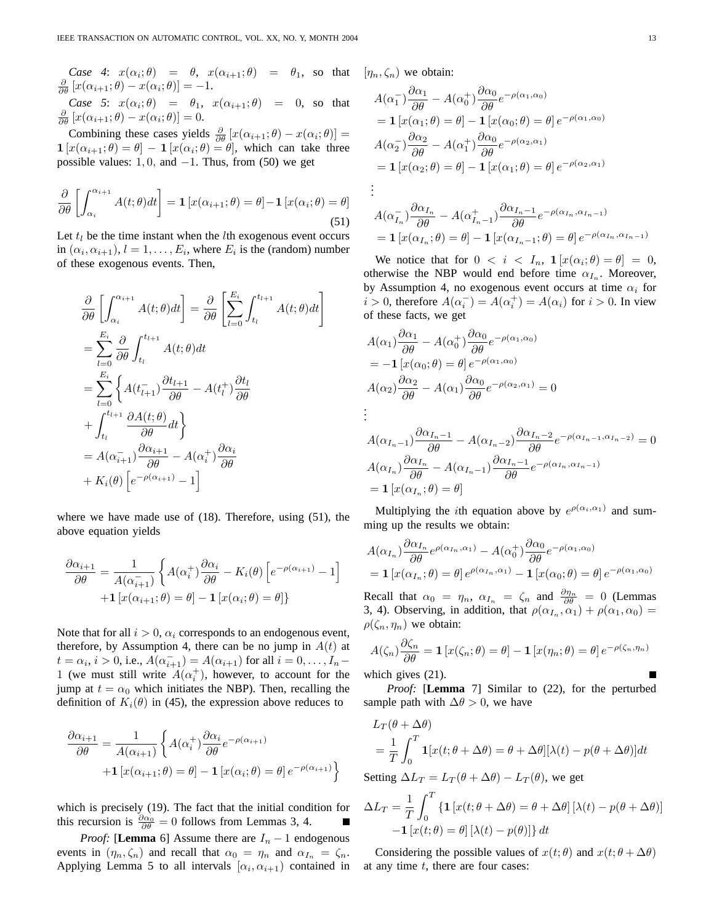*Case 4:*  $x(\alpha_i;\theta) = \theta$ ,  $x(\alpha_{i+1};\theta) = \theta_1$ , so that  $[\eta_n,\zeta_n]$  we obtain:  $\frac{\partial}{\partial \theta} [x(\alpha_{i+1}; \theta) - x(\alpha_i; \theta)] = -1.$ 

*Case 5*:  $x(\alpha_i; \theta) = \theta_1$ ,  $x(\alpha_{i+1}; \theta) = 0$ , so that  $\frac{\partial}{\partial \theta} [x(\alpha_{i+1}; \theta) - x(\alpha_i; \theta)] = 0$ .

Combining these cases yields  $\frac{\partial}{\partial \theta} [x(\alpha_{i+1}; \theta) - x(\alpha_i; \theta)] =$  $\mathbf{1}[x(\alpha_{i+1};\theta) = \theta] - \mathbf{1}[x(\alpha_i;\theta) = \theta]$ , which can take three possible values: 1, 0, and  $-1$ . Thus, from (50) we get

$$
\frac{\partial}{\partial \theta} \left[ \int_{\alpha_i}^{\alpha_{i+1}} A(t; \theta) dt \right] = \mathbf{1} \left[ x(\alpha_{i+1}; \theta) = \theta \right] - \mathbf{1} \left[ x(\alpha_i; \theta) = \theta \right]
$$
\n(51)

Let  $t_l$  be the time instant when the *l*th exogenous event occurs in  $(\alpha_i, \alpha_{i+1}), l = 1, \ldots, E_i$ , where  $E_i$  is the (random) number of these exogenous events. Then,

$$
\frac{\partial}{\partial \theta} \left[ \int_{\alpha_i}^{\alpha_{i+1}} A(t; \theta) dt \right] = \frac{\partial}{\partial \theta} \left[ \sum_{l=0}^{E_i} \int_{t_l}^{t_{l+1}} A(t; \theta) dt \right]
$$
\n
$$
= \sum_{l=0}^{E_i} \frac{\partial}{\partial \theta} \int_{t_l}^{t_{l+1}} A(t; \theta) dt
$$
\n
$$
= \sum_{l=0}^{E_i} \left\{ A(t_{l+1}^{-}) \frac{\partial t_{l+1}}{\partial \theta} - A(t_l^{+}) \frac{\partial t_l}{\partial \theta} + \int_{t_l}^{t_{l+1}} \frac{\partial A(t; \theta)}{\partial \theta} dt \right\}
$$
\n
$$
= A(\alpha_{i+1}^{-}) \frac{\partial \alpha_{i+1}}{\partial \theta} - A(\alpha_i^{+}) \frac{\partial \alpha_i}{\partial \theta}
$$
\n
$$
+ K_i(\theta) \left[ e^{-\rho(\alpha_{i+1})} - 1 \right]
$$

where we have made use of (18). Therefore, using (51), the above equation yields

$$
\frac{\partial \alpha_{i+1}}{\partial \theta} = \frac{1}{A(\alpha_{i+1}^{-})} \left\{ A(\alpha_i^{+}) \frac{\partial \alpha_i}{\partial \theta} - K_i(\theta) \left[ e^{-\rho(\alpha_{i+1})} - 1 \right] + \mathbf{1} \left[ x(\alpha_{i+1}; \theta) = \theta \right] - \mathbf{1} \left[ x(\alpha_i; \theta) = \theta \right] \right\}
$$

Note that for all  $i > 0$ ,  $\alpha_i$  corresponds to an endogenous event, therefore, by Assumption 4, there can be no jump in  $A(t)$  at  $t = \alpha_i, i > 0$ , i.e.,  $A(\alpha_{i+1}^-) = A(\alpha_{i+1})$  for all  $i = 0, ..., I_n$ 1 (we must still write  $A(\alpha_i^+)$ , however, to account for the jump at  $t = \alpha_0$  which initiates the NBP). Then, recalling the definition of  $K_i(\theta)$  in (45), the expression above reduces to

$$
\frac{\partial \alpha_{i+1}}{\partial \theta} = \frac{1}{A(\alpha_{i+1})} \left\{ A(\alpha_i^+) \frac{\partial \alpha_i}{\partial \theta} e^{-\rho(\alpha_{i+1})} + \mathbf{1} \left[ x(\alpha_{i+1}; \theta) = \theta \right] - \mathbf{1} \left[ x(\alpha_i; \theta) = \theta \right] e^{-\rho(\alpha_{i+1})} \right\}
$$

which is precisely (19). The fact that the initial condition for this recursion is  $\frac{\partial \alpha_0}{\partial \theta} = 0$  follows from Lemmas 3, 4.

*Proof:* [**Lemma** 6] Assume there are  $I_n - 1$  endogenous events in  $(\eta_n, \zeta_n)$  and recall that  $\alpha_0 = \eta_n$  and  $\alpha_{I_n} = \zeta_n$ . Applying Lemma 5 to all intervals  $[\alpha_i, \alpha_{i+1})$  contained in

$$
A(\alpha_1^-) \frac{\partial \alpha_1}{\partial \theta} - A(\alpha_0^+) \frac{\partial \alpha_0}{\partial \theta} e^{-\rho(\alpha_1, \alpha_0)}
$$
  
=  $\mathbf{1} [x(\alpha_1; \theta) = \theta] - \mathbf{1} [x(\alpha_0; \theta) = \theta] e^{-\rho(\alpha_1, \alpha_0)}$   

$$
A(\alpha_2^-) \frac{\partial \alpha_2}{\partial \theta} - A(\alpha_1^+) \frac{\partial \alpha_0}{\partial \theta} e^{-\rho(\alpha_2, \alpha_1)}
$$
  
=  $\mathbf{1} [x(\alpha_2; \theta) = \theta] - \mathbf{1} [x(\alpha_1; \theta) = \theta] e^{-\rho(\alpha_2, \alpha_1)}$   
:

$$
A(\alpha_{I_n}^-) \frac{\partial \alpha_{I_n}}{\partial \theta} - A(\alpha_{I_n-1}^+) \frac{\partial \alpha_{I_n-1}}{\partial \theta} e^{-\rho(\alpha_{I_n}, \alpha_{I_n-1})}
$$
  
=  $\mathbf{1}[x(\alpha_{I_n}; \theta) = \theta] - \mathbf{1}[x(\alpha_{I_n-1}; \theta) = \theta] e^{-\rho(\alpha_{I_n}, \alpha_{I_n-1})}$ 

We notice that for  $0 \le i \le I_n$ ,  $\mathbf{1}[x(\alpha_i; \theta) = \theta] = 0$ , otherwise the NBP would end before time  $\alpha_{I_n}$ . Moreover, by Assumption 4, no exogenous event occurs at time  $\alpha_i$  for  $i > 0$ , therefore  $A(\alpha_i^-) = A(\alpha_i^+) = A(\alpha_i)$  for  $i > 0$ . In view of these facts, we get

$$
A(\alpha_1) \frac{\partial \alpha_1}{\partial \theta} - A(\alpha_0^+) \frac{\partial \alpha_0}{\partial \theta} e^{-\rho(\alpha_1, \alpha_0)}
$$
  
=  $-\mathbf{1} [x(\alpha_0; \theta) = \theta] e^{-\rho(\alpha_1, \alpha_0)}$   

$$
A(\alpha_2) \frac{\partial \alpha_2}{\partial \theta} - A(\alpha_1) \frac{\partial \alpha_0}{\partial \theta} e^{-\rho(\alpha_2, \alpha_1)} = 0
$$
  
:

$$
A(\alpha_{I_n-1})\frac{\partial \alpha_{I_n-1}}{\partial \theta} - A(\alpha_{I_n-2})\frac{\partial \alpha_{I_n-2}}{\partial \theta}e^{-\rho(\alpha_{I_n-1}, \alpha_{I_n-2})} = 0
$$
  

$$
A(\alpha_{I_n})\frac{\partial \alpha_{I_n}}{\partial \theta} - A(\alpha_{I_n-1})\frac{\partial \alpha_{I_n-1}}{\partial \theta}e^{-\rho(\alpha_{I_n}, \alpha_{I_n-1})}
$$
  

$$
= \mathbf{1}[x(\alpha_{I_n}; \theta) = \theta]
$$

Multiplying the *i*th equation above by  $e^{\rho(\alpha_i,\alpha_1)}$  and summing up the results we obtain:

$$
A(\alpha_{I_n}) \frac{\partial \alpha_{I_n}}{\partial \theta} e^{\rho(\alpha_{I_n}, \alpha_1)} - A(\alpha_0^+) \frac{\partial \alpha_0}{\partial \theta} e^{-\rho(\alpha_1, \alpha_0)}
$$
  
=  $\mathbf{1} [x(\alpha_{I_n}; \theta) = \theta] e^{\rho(\alpha_{I_n}, \alpha_1)} - \mathbf{1} [x(\alpha_0; \theta) = \theta] e^{-\rho(\alpha_1, \alpha_0)}$ 

Recall that  $\alpha_0 = \eta_n$ ,  $\alpha_{I_n} = \zeta_n$  and  $\frac{\partial \eta_n}{\partial \theta} = 0$  (Lemmas 3, 4). Observing, in addition, that  $\rho(\alpha_{I_n}, \alpha_1) + \rho(\alpha_1, \alpha_0) =$  $\rho(\zeta_n, \eta_n)$  we obtain:

$$
A(\zeta_n)\frac{\partial \zeta_n}{\partial \theta} = \mathbf{1}\left[x(\zeta_n; \theta) = \theta\right] - \mathbf{1}\left[x(\eta_n; \theta) = \theta\right]e^{-\rho(\zeta_n, \eta_n)}
$$

which gives  $(21)$ .

*Proof:* [**Lemma** 7] Similar to (22), for the perturbed sample path with  $\Delta\theta > 0$ , we have

$$
L_T(\theta + \Delta\theta)
$$
  
=  $\frac{1}{T} \int_0^T \mathbf{1}[x(t; \theta + \Delta\theta) = \theta + \Delta\theta][\lambda(t) - p(\theta + \Delta\theta)]dt$ 

Setting  $\Delta L_T = L_T(\theta + \Delta \theta) - L_T(\theta)$ , we get

$$
\Delta L_T = \frac{1}{T} \int_0^T \{ \mathbf{1} \left[ x(t; \theta + \Delta \theta) = \theta + \Delta \theta \right] [\lambda(t) - p(\theta + \Delta \theta)] - \mathbf{1} \left[ x(t; \theta) = \theta \right] [\lambda(t) - p(\theta)] \} dt
$$

Considering the possible values of  $x(t; \theta)$  and  $x(t; \theta + \Delta\theta)$ at any time  $t$ , there are four cases: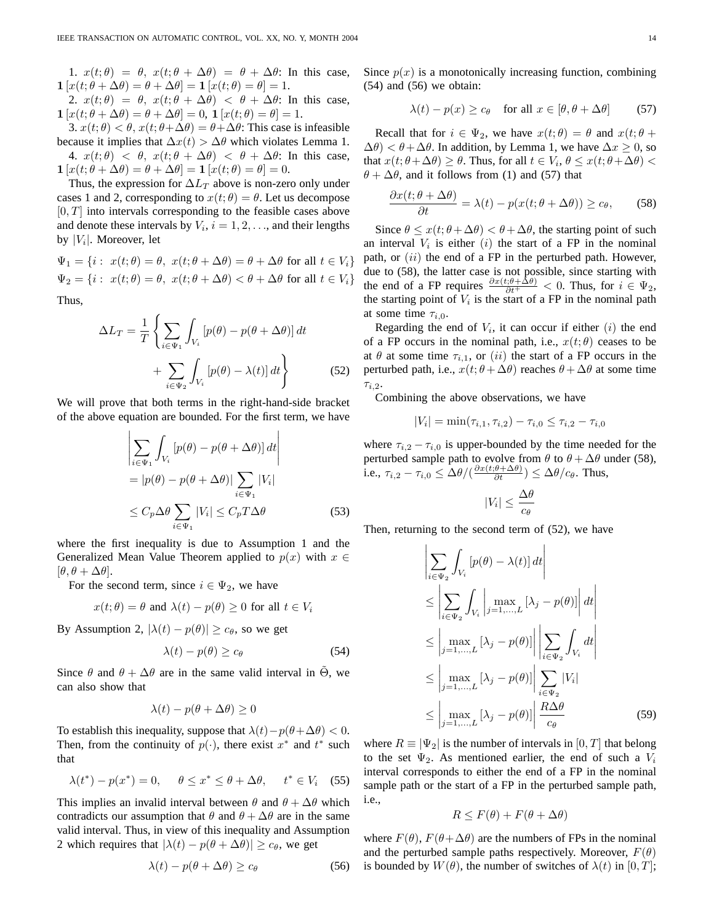1.  $x(t; \theta) = \theta$ ,  $x(t; \theta + \Delta \theta) = \theta + \Delta \theta$ : In this case,  $\mathbf{1}[x(t; \theta + \Delta \theta) = \theta + \Delta \theta] = \mathbf{1}[x(t; \theta) = \theta] = 1.$ 

2.  $x(t; \theta) = \theta$ ,  $x(t; \theta + \Delta \theta) < \theta + \Delta \theta$ : In this case,  $\mathbf{1}[x(t; \theta + \Delta \theta) = \theta + \Delta \theta] = 0, \mathbf{1}[x(t; \theta) = \theta] = 1.$ 

3.  $x(t; \theta) < \theta$ ,  $x(t; \theta + \Delta \theta) = \theta + \Delta \theta$ : This case is infeasible because it implies that  $\Delta x(t) > \Delta \theta$  which violates Lemma 1. 4.  $x(t; \theta) < \theta$ ,  $x(t; \theta + \Delta \theta) < \theta + \Delta \theta$ : In this case,  $\mathbf{1}[x(t; \theta + \Delta \theta) = \theta + \Delta \theta] = \mathbf{1}[x(t; \theta) = \theta] = 0.$ 

Thus, the expression for  $\Delta L_T$  above is non-zero only under cases 1 and 2, corresponding to  $x(t; \theta) = \theta$ . Let us decompose  $[0, T]$  into intervals corresponding to the feasible cases above and denote these intervals by  $V_i$ ,  $i = 1, 2, \dots$ , and their lengths by  $|V_i|$ . Moreover, let

 $\Psi_1 = \{i : x(t; \theta) = \theta, x(t; \theta + \Delta \theta) = \theta + \Delta \theta \text{ for all } t \in V_i\}$  $\Psi_2 = \{i : x(t; \theta) = \theta, x(t; \theta + \Delta \theta) < \theta + \Delta \theta \text{ for all } t \in V_i\}$ Thus,

$$
\Delta L_T = \frac{1}{T} \left\{ \sum_{i \in \Psi_1} \int_{V_i} \left[ p(\theta) - p(\theta + \Delta \theta) \right] dt + \sum_{i \in \Psi_2} \int_{V_i} \left[ p(\theta) - \lambda(t) \right] dt \right\}
$$
(52)

We will prove that both terms in the right-hand-side bracket of the above equation are bounded. For the first term, we have ້.  $\overline{a}$ 

$$
\left| \sum_{i \in \Psi_1} \int_{V_i} \left[ p(\theta) - p(\theta + \Delta \theta) \right] dt \right|
$$
  
= 
$$
\left| p(\theta) - p(\theta + \Delta \theta) \right| \sum_{i \in \Psi_1} |V_i|
$$
  

$$
\leq C_p \Delta \theta \sum_{i \in \Psi_1} |V_i| \leq C_p T \Delta \theta
$$
 (53)

where the first inequality is due to Assumption 1 and the Generalized Mean Value Theorem applied to  $p(x)$  with  $x \in$  $[\theta, \theta + \Delta \theta].$ 

For the second term, since  $i \in \Psi_2$ , we have

$$
x(t; \theta) = \theta \text{ and } \lambda(t) - p(\theta) \ge 0 \text{ for all } t \in V_i
$$

By Assumption 2,  $|\lambda(t) - p(\theta)| \ge c_{\theta}$ , so we get

$$
\lambda(t) - p(\theta) \ge c_{\theta} \tag{54}
$$

Since  $\theta$  and  $\theta + \Delta\theta$  are in the same valid interval in  $\Theta$ , we can also show that

$$
\lambda(t) - p(\theta + \Delta\theta) \ge 0
$$

To establish this inequality, suppose that  $\lambda(t)-p(\theta+\Delta\theta) < 0$ . Then, from the continuity of  $p(\cdot)$ , there exist  $x^*$  and  $t^*$  such that

$$
\lambda(t^*) - p(x^*) = 0, \quad \theta \le x^* \le \theta + \Delta\theta, \quad t^* \in V_i \quad (55)
$$

This implies an invalid interval between  $\theta$  and  $\theta + \Delta\theta$  which contradicts our assumption that  $\theta$  and  $\theta + \Delta\theta$  are in the same valid interval. Thus, in view of this inequality and Assumption 2 which requires that  $|\lambda(t) - p(\theta + \Delta\theta)| \geq c_{\theta}$ , we get

$$
\lambda(t) - p(\theta + \Delta\theta) \ge c_{\theta} \tag{56}
$$

Since  $p(x)$  is a monotonically increasing function, combining  $(54)$  and  $(56)$  we obtain:

$$
\lambda(t) - p(x) \ge c_{\theta} \quad \text{for all } x \in [\theta, \theta + \Delta\theta] \tag{57}
$$

Recall that for  $i \in \Psi_2$ , we have  $x(t; \theta) = \theta$  and  $x(t; \theta +$  $\Delta\theta$ )  $< \theta + \Delta\theta$ . In addition, by Lemma 1, we have  $\Delta x \geq 0$ , so that  $x(t; \theta + \Delta\theta) \ge \theta$ . Thus, for all  $t \in V_i$ ,  $\theta \le x(t; \theta + \Delta\theta)$  $\theta + \Delta\theta$ , and it follows from (1) and (57) that

$$
\frac{\partial x(t;\theta + \Delta \theta)}{\partial t} = \lambda(t) - p(x(t;\theta + \Delta \theta)) \ge c_{\theta}, \quad (58)
$$

Since  $\theta \leq x(t; \theta + \Delta \theta) < \theta + \Delta \theta$ , the starting point of such an interval  $V_i$  is either  $(i)$  the start of a FP in the nominal path, or  $(ii)$  the end of a FP in the perturbed path. However, due to (58), the latter case is not possible, since starting with the end of a FP requires  $\frac{\partial x(t;\theta + \Delta\theta)}{\partial t^+} < 0$ . Thus, for  $i \in \Psi_2$ , the starting point of  $V_i$  is the start of a FP in the nominal path at some time  $\tau_{i,0}$ .

Regarding the end of  $V_i$ , it can occur if either  $(i)$  the end of a FP occurs in the nominal path, i.e.,  $x(t; \theta)$  ceases to be at  $\theta$  at some time  $\tau_{i,1}$ , or (ii) the start of a FP occurs in the perturbed path, i.e.,  $x(t; \theta + \Delta\theta)$  reaches  $\theta + \Delta\theta$  at some time  $\tau_{i,2}$ .

Combining the above observations, we have

$$
|V_i| = \min(\tau_{i,1}, \tau_{i,2}) - \tau_{i,0} \le \tau_{i,2} - \tau_{i,0}
$$

where  $\tau_{i,2} - \tau_{i,0}$  is upper-bounded by the time needed for the perturbed sample path to evolve from  $\theta$  to  $\theta + \Delta\theta$  under (58), i.e.,  $\tau_{i,2} - \tau_{i,0} \leq \Delta \theta / (\frac{\partial x(t;\theta + \Delta \theta)}{\partial t}) \leq \Delta \theta / c_{\theta}$ . Thus,

$$
|V_i| \leq \frac{\Delta\theta}{c_\theta}
$$

Then, returning to the second term of (52), we have

$$
\left| \sum_{i \in \Psi_2} \int_{V_i} \left[ p(\theta) - \lambda(t) \right] dt \right|
$$
\n
$$
\leq \left| \sum_{i \in \Psi_2} \int_{V_i} \left| \max_{j=1,\dots,L} \left[ \lambda_j - p(\theta) \right] \right| dt \right|
$$
\n
$$
\leq \left| \max_{j=1,\dots,L} \left[ \lambda_j - p(\theta) \right] \right| \left| \sum_{i \in \Psi_2} \int_{V_i} dt \right|
$$
\n
$$
\leq \left| \max_{j=1,\dots,L} \left[ \lambda_j - p(\theta) \right] \right| \sum_{i \in \Psi_2} |V_i|
$$
\n
$$
\leq \left| \max_{j=1,\dots,L} \left[ \lambda_j - p(\theta) \right] \right| \frac{R \Delta \theta}{c_{\theta}} \tag{59}
$$

where  $R \equiv |\Psi_2|$  is the number of intervals in [0, T] that belong to the set  $\Psi_2$ . As mentioned earlier, the end of such a  $V_i$ interval corresponds to either the end of a FP in the nominal sample path or the start of a FP in the perturbed sample path, i.e.,

$$
R \le F(\theta) + F(\theta + \Delta\theta)
$$

where  $F(\theta)$ ,  $F(\theta + \Delta \theta)$  are the numbers of FPs in the nominal and the perturbed sample paths respectively. Moreover,  $F(\theta)$ is bounded by  $W(\theta)$ , the number of switches of  $\lambda(t)$  in [0, T];